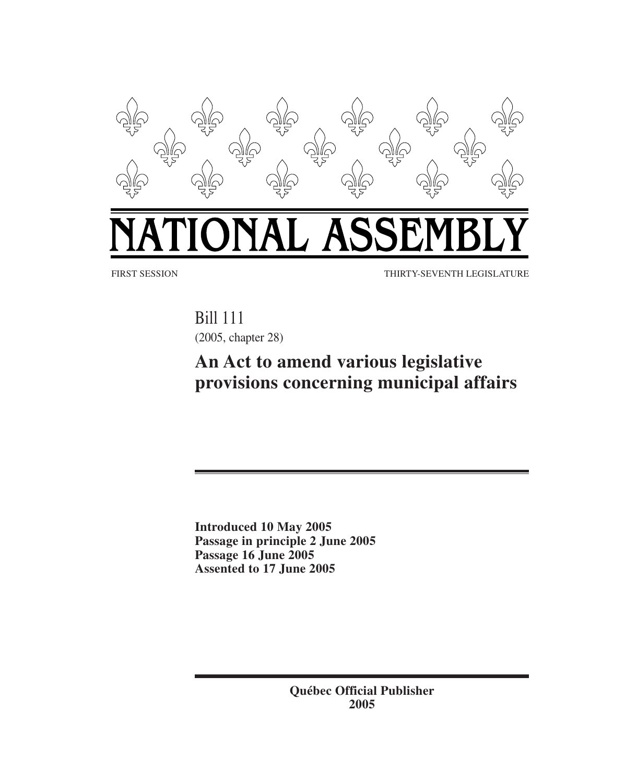

# IAL ASSI

FIRST SESSION THIRTY-SEVENTH LEGISLATURE

Bill 111 (2005, chapter 28)

## **An Act to amend various legislative provisions concerning municipal affairs**

**Introduced 10 May 2005 Passage in principle 2 June 2005 Passage 16 June 2005 Assented to 17 June 2005**

> **Québec Official Publisher 2005**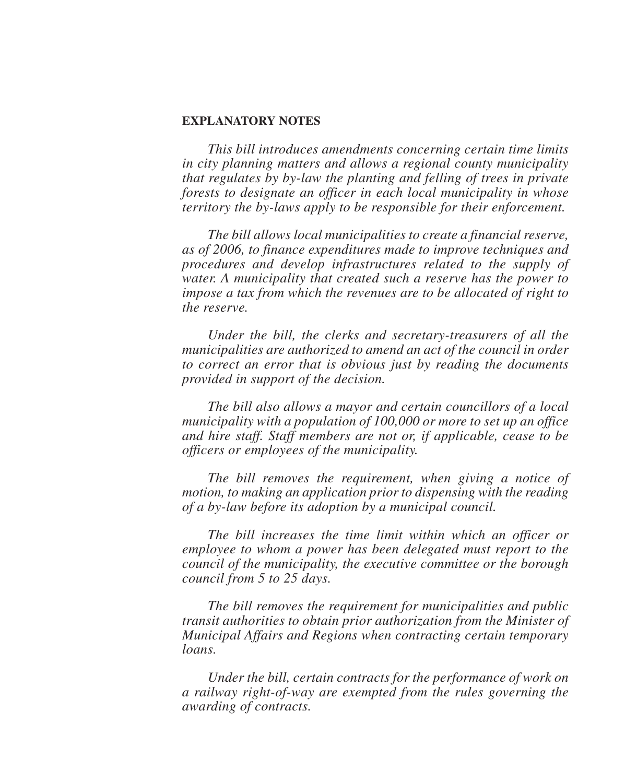#### **EXPLANATORY NOTES**

*This bill introduces amendments concerning certain time limits in city planning matters and allows a regional county municipality that regulates by by-law the planting and felling of trees in private forests to designate an officer in each local municipality in whose territory the by-laws apply to be responsible for their enforcement.*

*The bill allows local municipalities to create a financial reserve, as of 2006, to finance expenditures made to improve techniques and procedures and develop infrastructures related to the supply of water. A municipality that created such a reserve has the power to impose a tax from which the revenues are to be allocated of right to the reserve.*

*Under the bill, the clerks and secretary-treasurers of all the municipalities are authorized to amend an act of the council in order to correct an error that is obvious just by reading the documents provided in support of the decision.*

*The bill also allows a mayor and certain councillors of a local municipality with a population of 100,000 or more to set up an office and hire staff. Staff members are not or, if applicable, cease to be officers or employees of the municipality.*

*The bill removes the requirement, when giving a notice of motion, to making an application prior to dispensing with the reading of a by-law before its adoption by a municipal council.*

*The bill increases the time limit within which an officer or employee to whom a power has been delegated must report to the council of the municipality, the executive committee or the borough council from 5 to 25 days.*

*The bill removes the requirement for municipalities and public transit authorities to obtain prior authorization from the Minister of Municipal Affairs and Regions when contracting certain temporary loans.*

*Under the bill, certain contracts for the performance of work on a railway right-of-way are exempted from the rules governing the awarding of contracts.*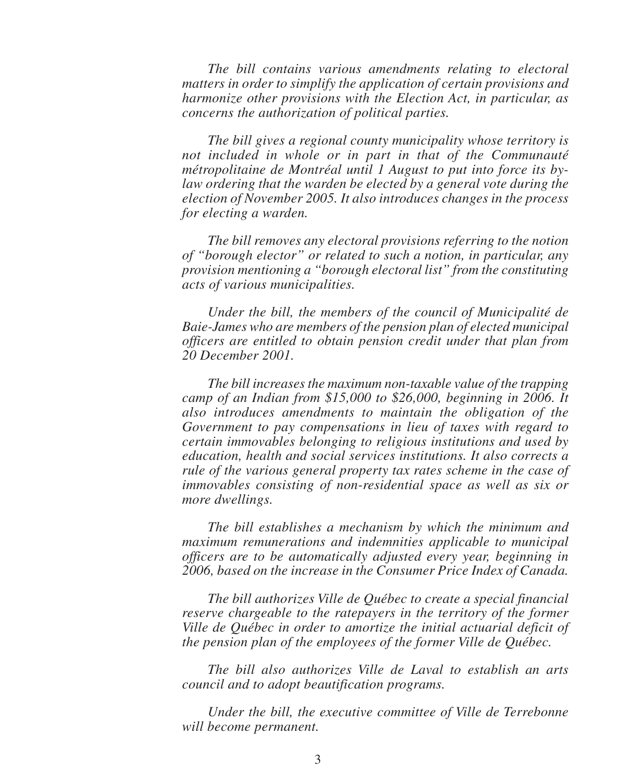*The bill contains various amendments relating to electoral matters in order to simplify the application of certain provisions and harmonize other provisions with the Election Act, in particular, as concerns the authorization of political parties.*

*The bill gives a regional county municipality whose territory is not included in whole or in part in that of the Communauté métropolitaine de Montréal until 1 August to put into force its bylaw ordering that the warden be elected by a general vote during the election of November 2005. It also introduces changes in the process for electing a warden.*

*The bill removes any electoral provisions referring to the notion of "borough elector" or related to such a notion, in particular, any provision mentioning a "borough electoral list" from the constituting acts of various municipalities.*

*Under the bill, the members of the council of Municipalité de Baie-James who are members of the pension plan of elected municipal officers are entitled to obtain pension credit under that plan from 20 December 2001.*

*The bill increases the maximum non-taxable value of the trapping camp of an Indian from \$15,000 to \$26,000, beginning in 2006. It also introduces amendments to maintain the obligation of the Government to pay compensations in lieu of taxes with regard to certain immovables belonging to religious institutions and used by education, health and social services institutions. It also corrects a rule of the various general property tax rates scheme in the case of immovables consisting of non-residential space as well as six or more dwellings.*

*The bill establishes a mechanism by which the minimum and maximum remunerations and indemnities applicable to municipal officers are to be automatically adjusted every year, beginning in 2006, based on the increase in the Consumer Price Index of Canada.*

*The bill authorizes Ville de Québec to create a special financial reserve chargeable to the ratepayers in the territory of the former Ville de Québec in order to amortize the initial actuarial deficit of the pension plan of the employees of the former Ville de Québec.*

*The bill also authorizes Ville de Laval to establish an arts council and to adopt beautification programs.*

*Under the bill, the executive committee of Ville de Terrebonne will become permanent.*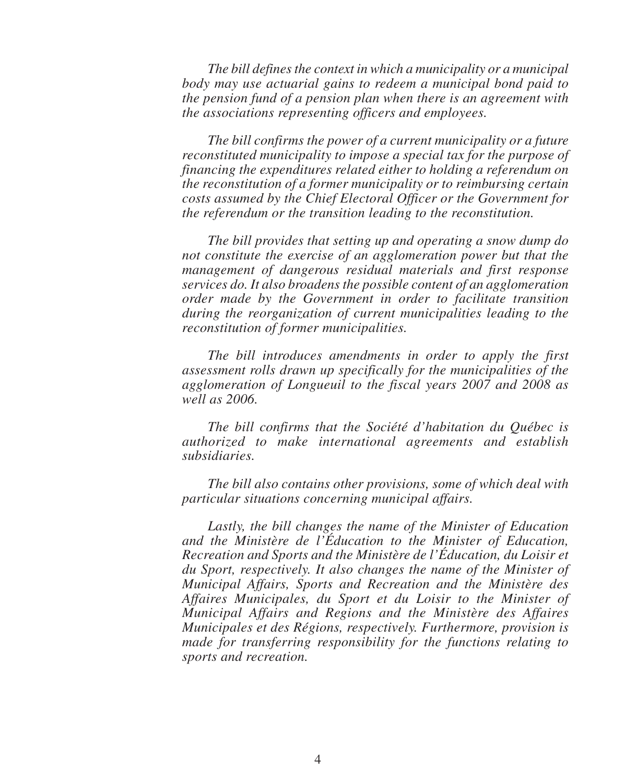*The bill defines the context in which a municipality or a municipal body may use actuarial gains to redeem a municipal bond paid to the pension fund of a pension plan when there is an agreement with the associations representing officers and employees.*

*The bill confirms the power of a current municipality or a future reconstituted municipality to impose a special tax for the purpose of financing the expenditures related either to holding a referendum on the reconstitution of a former municipality or to reimbursing certain costs assumed by the Chief Electoral Officer or the Government for the referendum or the transition leading to the reconstitution.*

*The bill provides that setting up and operating a snow dump do not constitute the exercise of an agglomeration power but that the management of dangerous residual materials and first response services do. It also broadens the possible content of an agglomeration order made by the Government in order to facilitate transition during the reorganization of current municipalities leading to the reconstitution of former municipalities.*

*The bill introduces amendments in order to apply the first assessment rolls drawn up specifically for the municipalities of the agglomeration of Longueuil to the fiscal years 2007 and 2008 as well as 2006.*

*The bill confirms that the Société d'habitation du Québec is authorized to make international agreements and establish subsidiaries.*

*The bill also contains other provisions, some of which deal with particular situations concerning municipal affairs.*

*Lastly, the bill changes the name of the Minister of Education and the Ministère de l'Éducation to the Minister of Education, Recreation and Sports and the Ministère de l'Éducation, du Loisir et du Sport, respectively. It also changes the name of the Minister of Municipal Affairs, Sports and Recreation and the Ministère des Affaires Municipales, du Sport et du Loisir to the Minister of Municipal Affairs and Regions and the Ministère des Affaires Municipales et des Régions, respectively. Furthermore, provision is made for transferring responsibility for the functions relating to sports and recreation.*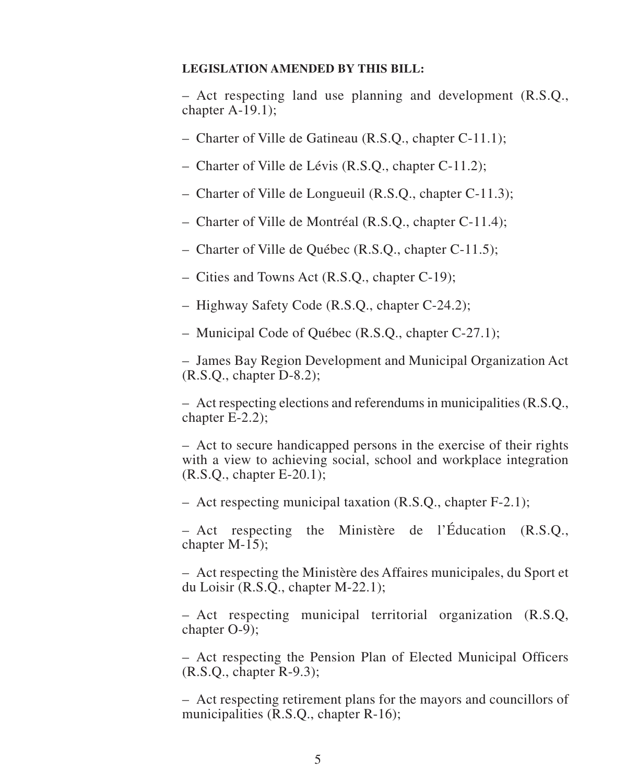#### **LEGISLATION AMENDED BY THIS BILL:**

– Act respecting land use planning and development (R.S.Q., chapter A-19.1);

- Charter of Ville de Gatineau (R.S.Q., chapter C-11.1);
- Charter of Ville de Lévis (R.S.Q., chapter C-11.2);
- Charter of Ville de Longueuil (R.S.Q., chapter C-11.3);
- Charter of Ville de Montréal (R.S.Q., chapter C-11.4);
- Charter of Ville de Québec (R.S.Q., chapter C-11.5);
- Cities and Towns Act (R.S.Q., chapter C-19);
- Highway Safety Code (R.S.Q., chapter C-24.2);
- Municipal Code of Québec (R.S.Q., chapter C-27.1);

– James Bay Region Development and Municipal Organization Act (R.S.Q., chapter D-8.2);

– Act respecting elections and referendums in municipalities (R.S.Q., chapter E-2.2);

– Act to secure handicapped persons in the exercise of their rights with a view to achieving social, school and workplace integration (R.S.Q., chapter E-20.1);

– Act respecting municipal taxation (R.S.Q., chapter F-2.1);

– Act respecting the Ministère de l'Éducation (R.S.Q., chapter M-15);

– Act respecting the Ministère des Affaires municipales, du Sport et du Loisir (R.S.Q., chapter M-22.1);

– Act respecting municipal territorial organization (R.S.Q, chapter O-9);

– Act respecting the Pension Plan of Elected Municipal Officers (R.S.Q., chapter R-9.3);

– Act respecting retirement plans for the mayors and councillors of municipalities (R.S.Q., chapter R-16);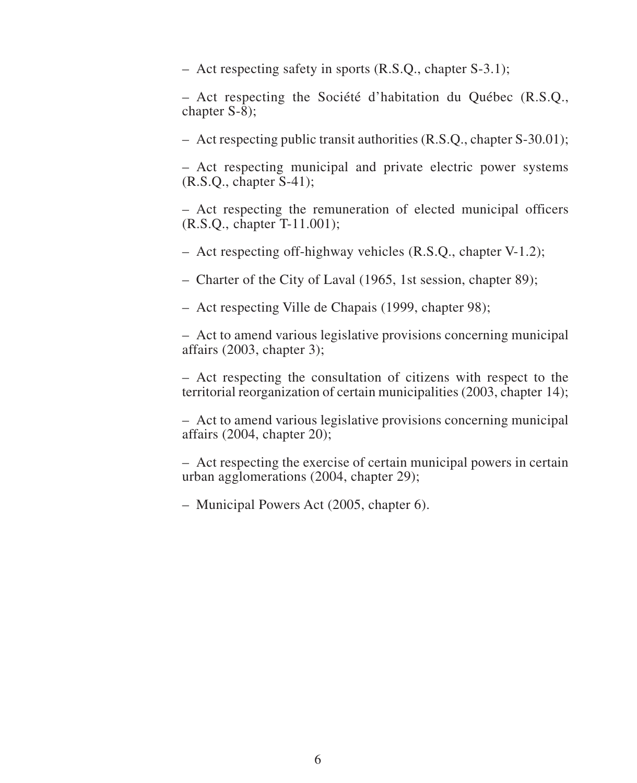– Act respecting safety in sports (R.S.Q., chapter S-3.1);

– Act respecting the Société d'habitation du Québec (R.S.Q., chapter S-8);

– Act respecting public transit authorities (R.S.Q., chapter S-30.01);

– Act respecting municipal and private electric power systems (R.S.Q., chapter S-41);

– Act respecting the remuneration of elected municipal officers (R.S.Q., chapter T-11.001);

– Act respecting off-highway vehicles (R.S.Q., chapter V-1.2);

– Charter of the City of Laval (1965, 1st session, chapter 89);

– Act respecting Ville de Chapais (1999, chapter 98);

– Act to amend various legislative provisions concerning municipal affairs (2003, chapter 3);

– Act respecting the consultation of citizens with respect to the territorial reorganization of certain municipalities (2003, chapter 14);

– Act to amend various legislative provisions concerning municipal affairs  $(2004,$  chapter  $20)$ ;

– Act respecting the exercise of certain municipal powers in certain urban agglomerations (2004, chapter 29);

– Municipal Powers Act (2005, chapter 6).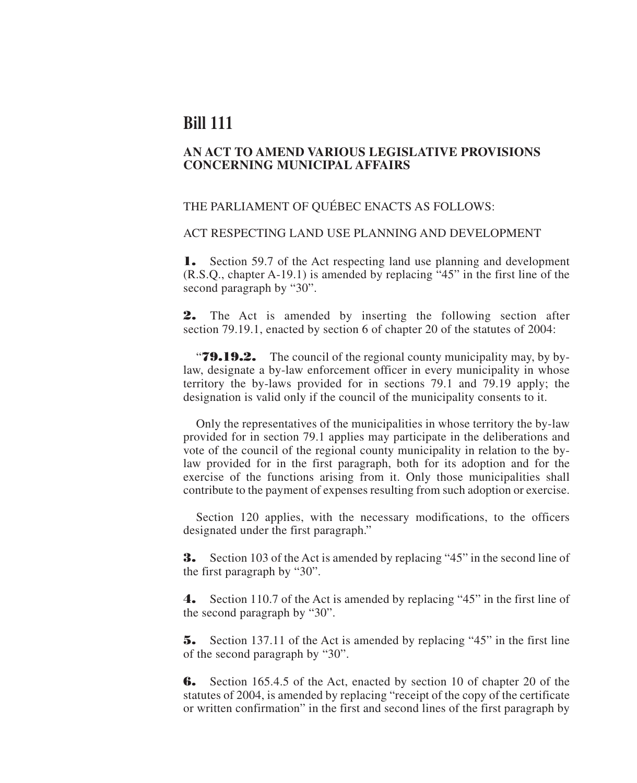### **Bill 111**

#### **AN ACT TO AMEND VARIOUS LEGISLATIVE PROVISIONS CONCERNING MUNICIPAL AFFAIRS**

#### THE PARLIAMENT OF QUÉBEC ENACTS AS FOLLOWS:

#### ACT RESPECTING LAND USE PLANNING AND DEVELOPMENT

**1.** Section 59.7 of the Act respecting land use planning and development (R.S.Q., chapter A-19.1) is amended by replacing "45" in the first line of the second paragraph by "30".

**2.** The Act is amended by inserting the following section after section 79.19.1, enacted by section 6 of chapter 20 of the statutes of 2004:

"**79.19.2.** The council of the regional county municipality may, by bylaw, designate a by-law enforcement officer in every municipality in whose territory the by-laws provided for in sections 79.1 and 79.19 apply; the designation is valid only if the council of the municipality consents to it.

Only the representatives of the municipalities in whose territory the by-law provided for in section 79.1 applies may participate in the deliberations and vote of the council of the regional county municipality in relation to the bylaw provided for in the first paragraph, both for its adoption and for the exercise of the functions arising from it. Only those municipalities shall contribute to the payment of expenses resulting from such adoption or exercise.

Section 120 applies, with the necessary modifications, to the officers designated under the first paragraph."

**3.** Section 103 of the Act is amended by replacing "45" in the second line of the first paragraph by "30".

**4.** Section 110.7 of the Act is amended by replacing "45" in the first line of the second paragraph by "30".

**5.** Section 137.11 of the Act is amended by replacing "45" in the first line of the second paragraph by "30".

**6.** Section 165.4.5 of the Act, enacted by section 10 of chapter 20 of the statutes of 2004, is amended by replacing "receipt of the copy of the certificate or written confirmation" in the first and second lines of the first paragraph by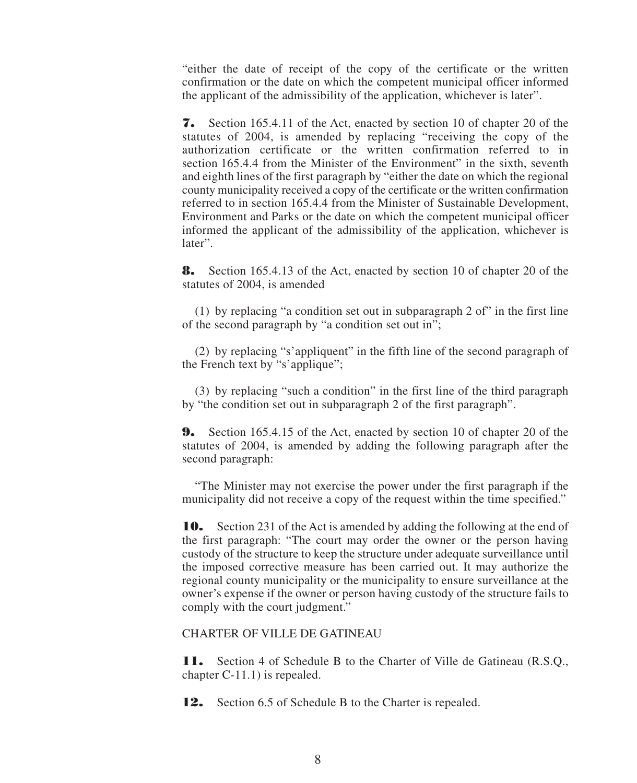"either the date of receipt of the copy of the certificate or the written confirmation or the date on which the competent municipal officer informed the applicant of the admissibility of the application, whichever is later".

**7.** Section 165.4.11 of the Act, enacted by section 10 of chapter 20 of the statutes of 2004, is amended by replacing "receiving the copy of the authorization certificate or the written confirmation referred to in section 165.4.4 from the Minister of the Environment" in the sixth, seventh and eighth lines of the first paragraph by "either the date on which the regional county municipality received a copy of the certificate or the written confirmation referred to in section 165.4.4 from the Minister of Sustainable Development, Environment and Parks or the date on which the competent municipal officer informed the applicant of the admissibility of the application, whichever is later".

**8.** Section 165.4.13 of the Act, enacted by section 10 of chapter 20 of the statutes of 2004, is amended

(1) by replacing "a condition set out in subparagraph 2 of" in the first line of the second paragraph by "a condition set out in";

(2) by replacing "s'appliquent" in the fifth line of the second paragraph of the French text by "s'applique";

(3) by replacing "such a condition" in the first line of the third paragraph by "the condition set out in subparagraph 2 of the first paragraph".

**9.** Section 165.4.15 of the Act, enacted by section 10 of chapter 20 of the statutes of 2004, is amended by adding the following paragraph after the second paragraph:

"The Minister may not exercise the power under the first paragraph if the municipality did not receive a copy of the request within the time specified."

**10.** Section 231 of the Act is amended by adding the following at the end of the first paragraph: "The court may order the owner or the person having custody of the structure to keep the structure under adequate surveillance until the imposed corrective measure has been carried out. It may authorize the regional county municipality or the municipality to ensure surveillance at the owner's expense if the owner or person having custody of the structure fails to comply with the court judgment."

#### CHARTER OF VILLE DE GATINEAU

**11.** Section 4 of Schedule B to the Charter of Ville de Gatineau (R.S.Q., chapter C-11.1) is repealed.

**12.** Section 6.5 of Schedule B to the Charter is repealed.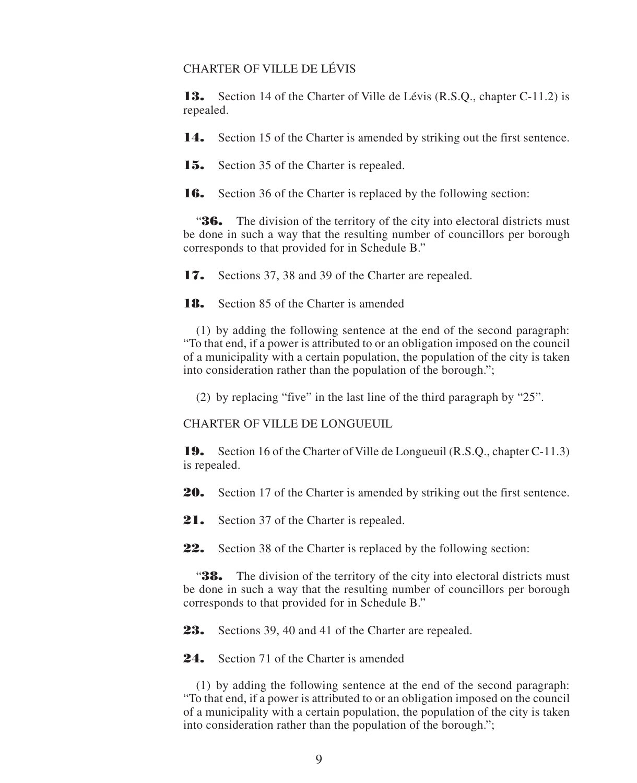#### CHARTER OF VILLE DE LÉVIS

**13.** Section 14 of the Charter of Ville de Lévis (R.S.Q., chapter C-11.2) is repealed.

**14.** Section 15 of the Charter is amended by striking out the first sentence.

**15.** Section 35 of the Charter is repealed.

**16.** Section 36 of the Charter is replaced by the following section:

"**36.** The division of the territory of the city into electoral districts must be done in such a way that the resulting number of councillors per borough corresponds to that provided for in Schedule B."

**17.** Sections 37, 38 and 39 of the Charter are repealed.

**18.** Section 85 of the Charter is amended

(1) by adding the following sentence at the end of the second paragraph: "To that end, if a power is attributed to or an obligation imposed on the council of a municipality with a certain population, the population of the city is taken into consideration rather than the population of the borough.";

(2) by replacing "five" in the last line of the third paragraph by "25".

CHARTER OF VILLE DE LONGUEUIL

**19.** Section 16 of the Charter of Ville de Longueuil (R.S.Q., chapter C-11.3) is repealed.

**20.** Section 17 of the Charter is amended by striking out the first sentence.

21. Section 37 of the Charter is repealed.

**22.** Section 38 of the Charter is replaced by the following section:

"**38.** The division of the territory of the city into electoral districts must be done in such a way that the resulting number of councillors per borough corresponds to that provided for in Schedule B."

**23.** Sections 39, 40 and 41 of the Charter are repealed.

24. Section 71 of the Charter is amended

(1) by adding the following sentence at the end of the second paragraph: "To that end, if a power is attributed to or an obligation imposed on the council of a municipality with a certain population, the population of the city is taken into consideration rather than the population of the borough.";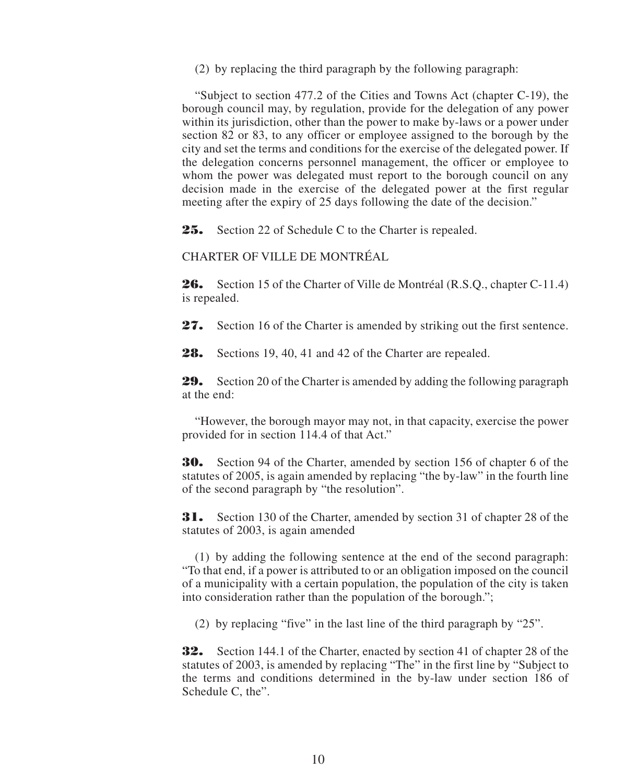(2) by replacing the third paragraph by the following paragraph:

"Subject to section 477.2 of the Cities and Towns Act (chapter C-19), the borough council may, by regulation, provide for the delegation of any power within its jurisdiction, other than the power to make by-laws or a power under section 82 or 83, to any officer or employee assigned to the borough by the city and set the terms and conditions for the exercise of the delegated power. If the delegation concerns personnel management, the officer or employee to whom the power was delegated must report to the borough council on any decision made in the exercise of the delegated power at the first regular meeting after the expiry of 25 days following the date of the decision."

**25.** Section 22 of Schedule C to the Charter is repealed.

CHARTER OF VILLE DE MONTRÉAL

**26.** Section 15 of the Charter of Ville de Montréal (R.S.Q., chapter C-11.4) is repealed.

**27.** Section 16 of the Charter is amended by striking out the first sentence.

**28.** Sections 19, 40, 41 and 42 of the Charter are repealed.

**29.** Section 20 of the Charter is amended by adding the following paragraph at the end:

"However, the borough mayor may not, in that capacity, exercise the power provided for in section 114.4 of that Act."

**30.** Section 94 of the Charter, amended by section 156 of chapter 6 of the statutes of 2005, is again amended by replacing "the by-law" in the fourth line of the second paragraph by "the resolution".

**31.** Section 130 of the Charter, amended by section 31 of chapter 28 of the statutes of 2003, is again amended

(1) by adding the following sentence at the end of the second paragraph: "To that end, if a power is attributed to or an obligation imposed on the council of a municipality with a certain population, the population of the city is taken into consideration rather than the population of the borough.";

(2) by replacing "five" in the last line of the third paragraph by "25".

**32.** Section 144.1 of the Charter, enacted by section 41 of chapter 28 of the statutes of 2003, is amended by replacing "The" in the first line by "Subject to the terms and conditions determined in the by-law under section 186 of Schedule C, the".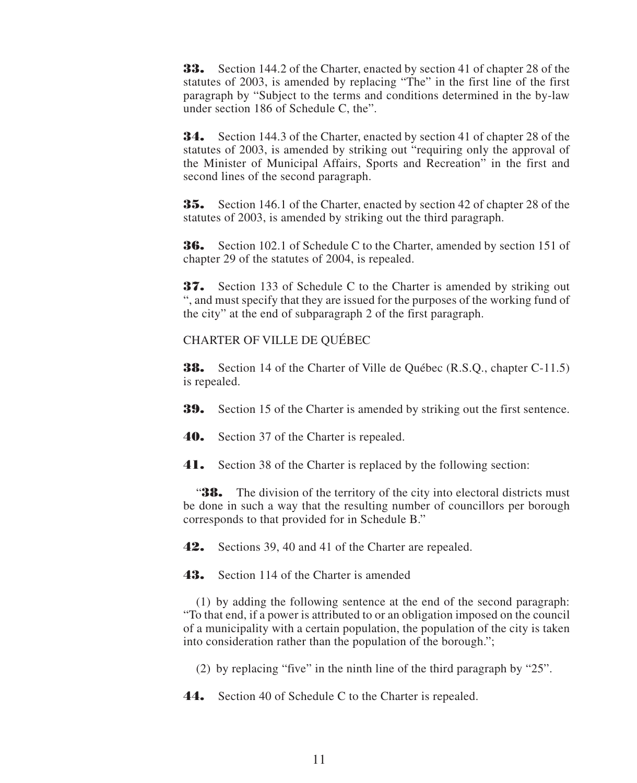**33.** Section 144.2 of the Charter, enacted by section 41 of chapter 28 of the statutes of 2003, is amended by replacing "The" in the first line of the first paragraph by "Subject to the terms and conditions determined in the by-law under section 186 of Schedule C, the".

**34.** Section 144.3 of the Charter, enacted by section 41 of chapter 28 of the statutes of 2003, is amended by striking out "requiring only the approval of the Minister of Municipal Affairs, Sports and Recreation" in the first and second lines of the second paragraph.

**35.** Section 146.1 of the Charter, enacted by section 42 of chapter 28 of the statutes of 2003, is amended by striking out the third paragraph.

**36.** Section 102.1 of Schedule C to the Charter, amended by section 151 of chapter 29 of the statutes of 2004, is repealed.

**37.** Section 133 of Schedule C to the Charter is amended by striking out ", and must specify that they are issued for the purposes of the working fund of the city" at the end of subparagraph 2 of the first paragraph.

#### CHARTER OF VILLE DE QUÉBEC

**38.** Section 14 of the Charter of Ville de Québec (R.S.Q., chapter C-11.5) is repealed.

**39.** Section 15 of the Charter is amended by striking out the first sentence.

**40.** Section 37 of the Charter is repealed.

**41.** Section 38 of the Charter is replaced by the following section:

"**38.** The division of the territory of the city into electoral districts must be done in such a way that the resulting number of councillors per borough corresponds to that provided for in Schedule B."

**42.** Sections 39, 40 and 41 of the Charter are repealed.

**43.** Section 114 of the Charter is amended

(1) by adding the following sentence at the end of the second paragraph: "To that end, if a power is attributed to or an obligation imposed on the council of a municipality with a certain population, the population of the city is taken into consideration rather than the population of the borough.";

(2) by replacing "five" in the ninth line of the third paragraph by "25".

**44.** Section 40 of Schedule C to the Charter is repealed.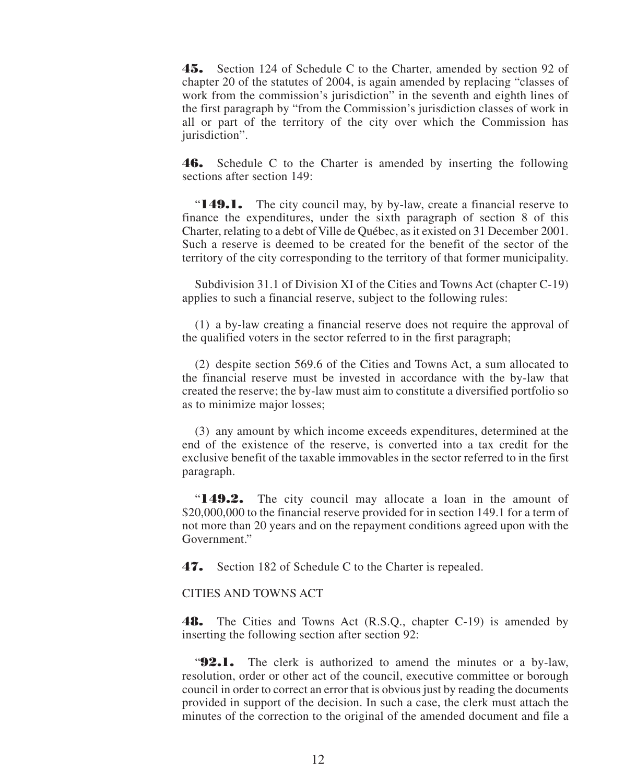**45.** Section 124 of Schedule C to the Charter, amended by section 92 of chapter 20 of the statutes of 2004, is again amended by replacing "classes of work from the commission's jurisdiction" in the seventh and eighth lines of the first paragraph by "from the Commission's jurisdiction classes of work in all or part of the territory of the city over which the Commission has jurisdiction".

**46.** Schedule C to the Charter is amended by inserting the following sections after section 149:

"**149.1.** The city council may, by by-law, create a financial reserve to finance the expenditures, under the sixth paragraph of section 8 of this Charter, relating to a debt of Ville de Québec, as it existed on 31 December 2001. Such a reserve is deemed to be created for the benefit of the sector of the territory of the city corresponding to the territory of that former municipality.

Subdivision 31.1 of Division XI of the Cities and Towns Act (chapter C-19) applies to such a financial reserve, subject to the following rules:

(1) a by-law creating a financial reserve does not require the approval of the qualified voters in the sector referred to in the first paragraph;

(2) despite section 569.6 of the Cities and Towns Act, a sum allocated to the financial reserve must be invested in accordance with the by-law that created the reserve; the by-law must aim to constitute a diversified portfolio so as to minimize major losses;

(3) any amount by which income exceeds expenditures, determined at the end of the existence of the reserve, is converted into a tax credit for the exclusive benefit of the taxable immovables in the sector referred to in the first paragraph.

"**149.2.** The city council may allocate a loan in the amount of \$20,000,000 to the financial reserve provided for in section 149.1 for a term of not more than 20 years and on the repayment conditions agreed upon with the Government"

**47.** Section 182 of Schedule C to the Charter is repealed.

#### CITIES AND TOWNS ACT

**48.** The Cities and Towns Act (R.S.Q., chapter C-19) is amended by inserting the following section after section 92:

"**92.1.** The clerk is authorized to amend the minutes or a by-law, resolution, order or other act of the council, executive committee or borough council in order to correct an error that is obvious just by reading the documents provided in support of the decision. In such a case, the clerk must attach the minutes of the correction to the original of the amended document and file a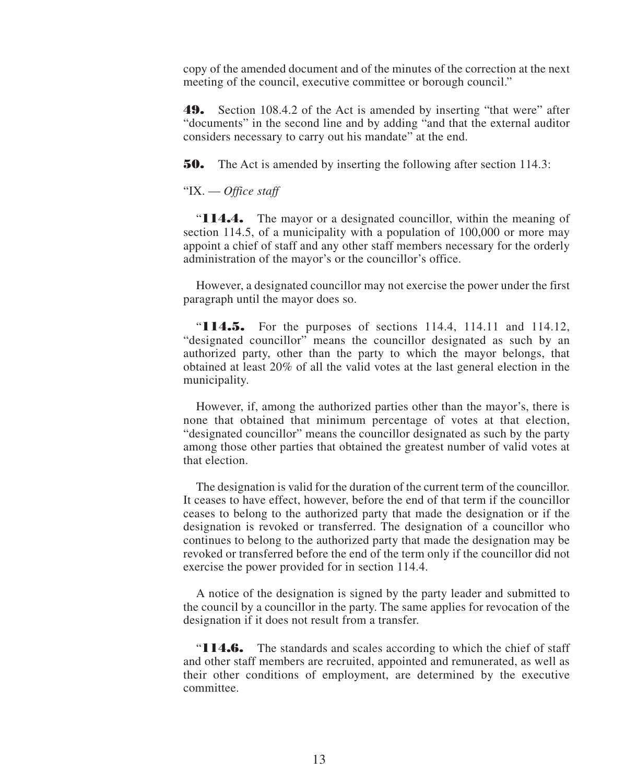copy of the amended document and of the minutes of the correction at the next meeting of the council, executive committee or borough council."

**49.** Section 108.4.2 of the Act is amended by inserting "that were" after "documents" in the second line and by adding "and that the external auditor considers necessary to carry out his mandate" at the end.

**50.** The Act is amended by inserting the following after section 114.3:

#### "IX. — *Office staff*

"**114.4.** The mayor or a designated councillor, within the meaning of section 114.5, of a municipality with a population of 100,000 or more may appoint a chief of staff and any other staff members necessary for the orderly administration of the mayor's or the councillor's office.

However, a designated councillor may not exercise the power under the first paragraph until the mayor does so.

"**114.5.** For the purposes of sections 114.4, 114.11 and 114.12, "designated councillor" means the councillor designated as such by an authorized party, other than the party to which the mayor belongs, that obtained at least 20% of all the valid votes at the last general election in the municipality.

However, if, among the authorized parties other than the mayor's, there is none that obtained that minimum percentage of votes at that election, "designated councillor" means the councillor designated as such by the party among those other parties that obtained the greatest number of valid votes at that election.

The designation is valid for the duration of the current term of the councillor. It ceases to have effect, however, before the end of that term if the councillor ceases to belong to the authorized party that made the designation or if the designation is revoked or transferred. The designation of a councillor who continues to belong to the authorized party that made the designation may be revoked or transferred before the end of the term only if the councillor did not exercise the power provided for in section 114.4.

A notice of the designation is signed by the party leader and submitted to the council by a councillor in the party. The same applies for revocation of the designation if it does not result from a transfer.

"**114.6.** The standards and scales according to which the chief of staff and other staff members are recruited, appointed and remunerated, as well as their other conditions of employment, are determined by the executive committee.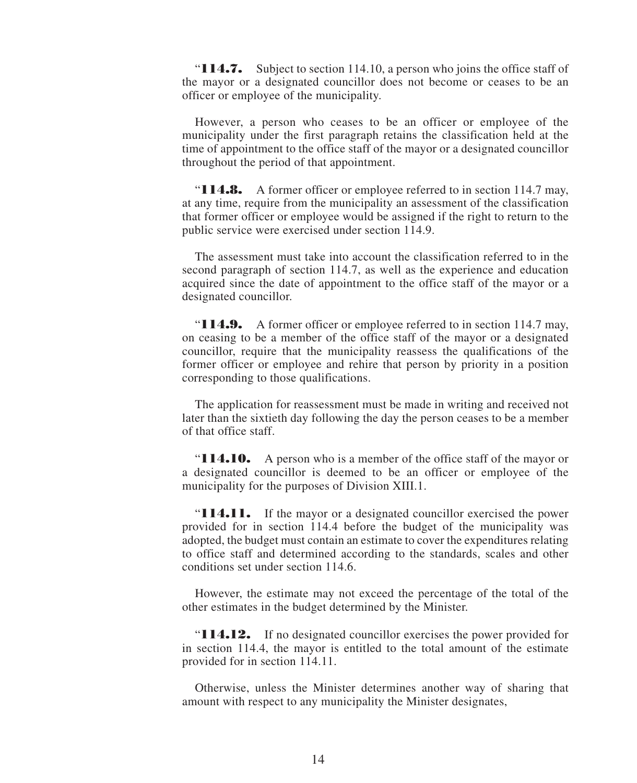"**114.7.** Subject to section 114.10, a person who joins the office staff of the mayor or a designated councillor does not become or ceases to be an officer or employee of the municipality.

However, a person who ceases to be an officer or employee of the municipality under the first paragraph retains the classification held at the time of appointment to the office staff of the mayor or a designated councillor throughout the period of that appointment.

"**114.8.** A former officer or employee referred to in section 114.7 may, at any time, require from the municipality an assessment of the classification that former officer or employee would be assigned if the right to return to the public service were exercised under section 114.9.

The assessment must take into account the classification referred to in the second paragraph of section 114.7, as well as the experience and education acquired since the date of appointment to the office staff of the mayor or a designated councillor.

"**114.9.** A former officer or employee referred to in section 114.7 may, on ceasing to be a member of the office staff of the mayor or a designated councillor, require that the municipality reassess the qualifications of the former officer or employee and rehire that person by priority in a position corresponding to those qualifications.

The application for reassessment must be made in writing and received not later than the sixtieth day following the day the person ceases to be a member of that office staff.

"**114.10.** A person who is a member of the office staff of the mayor or a designated councillor is deemed to be an officer or employee of the municipality for the purposes of Division XIII.1.

"**114.11.** If the mayor or a designated councillor exercised the power provided for in section 114.4 before the budget of the municipality was adopted, the budget must contain an estimate to cover the expenditures relating to office staff and determined according to the standards, scales and other conditions set under section 114.6.

However, the estimate may not exceed the percentage of the total of the other estimates in the budget determined by the Minister.

"**114.12.** If no designated councillor exercises the power provided for in section 114.4, the mayor is entitled to the total amount of the estimate provided for in section 114.11.

Otherwise, unless the Minister determines another way of sharing that amount with respect to any municipality the Minister designates,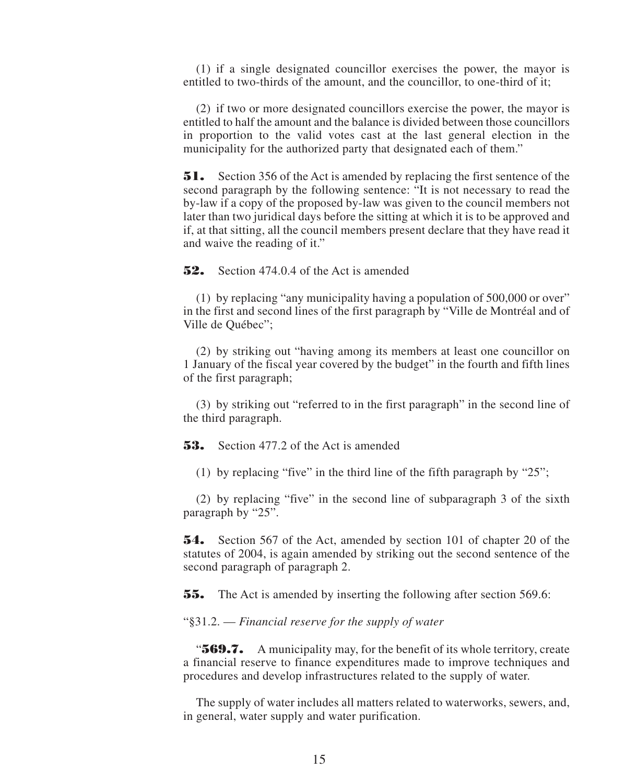(1) if a single designated councillor exercises the power, the mayor is entitled to two-thirds of the amount, and the councillor, to one-third of it;

(2) if two or more designated councillors exercise the power, the mayor is entitled to half the amount and the balance is divided between those councillors in proportion to the valid votes cast at the last general election in the municipality for the authorized party that designated each of them."

**51.** Section 356 of the Act is amended by replacing the first sentence of the second paragraph by the following sentence: "It is not necessary to read the by-law if a copy of the proposed by-law was given to the council members not later than two juridical days before the sitting at which it is to be approved and if, at that sitting, all the council members present declare that they have read it and waive the reading of it."

**52.** Section 474.0.4 of the Act is amended

(1) by replacing "any municipality having a population of 500,000 or over" in the first and second lines of the first paragraph by "Ville de Montréal and of Ville de Québec";

(2) by striking out "having among its members at least one councillor on 1 January of the fiscal year covered by the budget" in the fourth and fifth lines of the first paragraph;

(3) by striking out "referred to in the first paragraph" in the second line of the third paragraph.

**53.** Section 477.2 of the Act is amended

(1) by replacing "five" in the third line of the fifth paragraph by "25";

(2) by replacing "five" in the second line of subparagraph 3 of the sixth paragraph by "25".

**54.** Section 567 of the Act, amended by section 101 of chapter 20 of the statutes of 2004, is again amended by striking out the second sentence of the second paragraph of paragraph 2.

**55.** The Act is amended by inserting the following after section 569.6:

"§31.2. — *Financial reserve for the supply of water*

"**569.7.** A municipality may, for the benefit of its whole territory, create a financial reserve to finance expenditures made to improve techniques and procedures and develop infrastructures related to the supply of water.

The supply of water includes all matters related to waterworks, sewers, and, in general, water supply and water purification.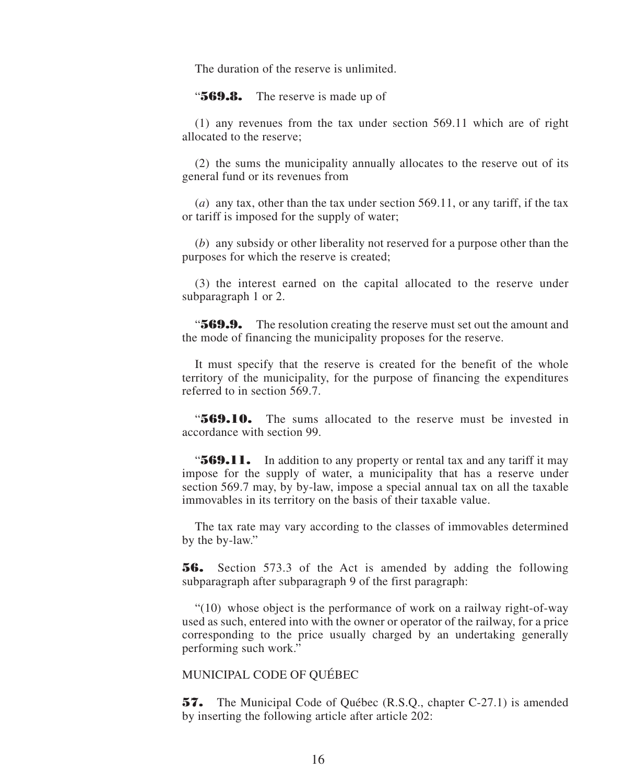The duration of the reserve is unlimited.

"**569.8.** The reserve is made up of

(1) any revenues from the tax under section 569.11 which are of right allocated to the reserve;

(2) the sums the municipality annually allocates to the reserve out of its general fund or its revenues from

(*a*) any tax, other than the tax under section 569.11, or any tariff, if the tax or tariff is imposed for the supply of water;

(*b*) any subsidy or other liberality not reserved for a purpose other than the purposes for which the reserve is created;

(3) the interest earned on the capital allocated to the reserve under subparagraph 1 or 2.

"**569.9.** The resolution creating the reserve must set out the amount and the mode of financing the municipality proposes for the reserve.

It must specify that the reserve is created for the benefit of the whole territory of the municipality, for the purpose of financing the expenditures referred to in section 569.7.

"**569.10.** The sums allocated to the reserve must be invested in accordance with section 99.

**569.11.** In addition to any property or rental tax and any tariff it may impose for the supply of water, a municipality that has a reserve under section 569.7 may, by by-law, impose a special annual tax on all the taxable immovables in its territory on the basis of their taxable value.

The tax rate may vary according to the classes of immovables determined by the by-law."

**56.** Section 573.3 of the Act is amended by adding the following subparagraph after subparagraph 9 of the first paragraph:

"(10) whose object is the performance of work on a railway right-of-way used as such, entered into with the owner or operator of the railway, for a price corresponding to the price usually charged by an undertaking generally performing such work."

#### MUNICIPAL CODE OF QUÉBEC

**57.** The Municipal Code of Québec (R.S.Q., chapter C-27.1) is amended by inserting the following article after article 202: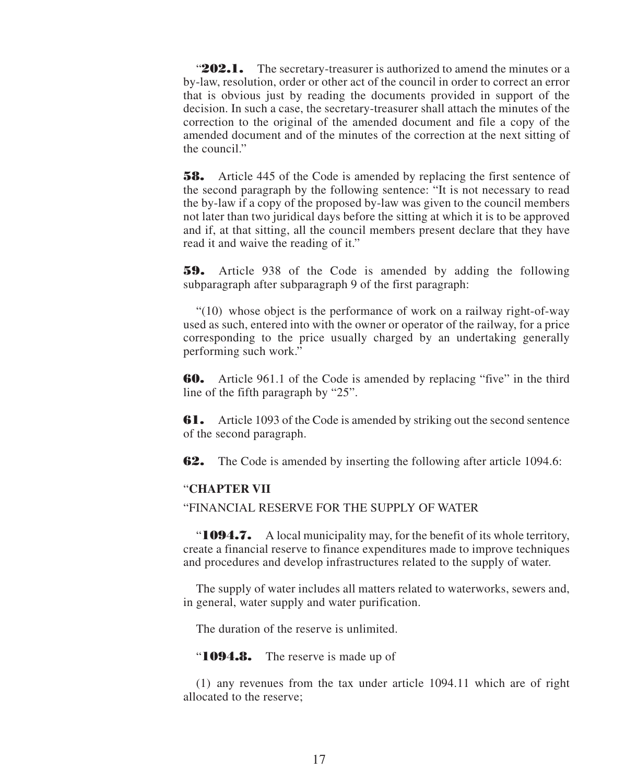**202.1.** The secretary-treasurer is authorized to amend the minutes or a by-law, resolution, order or other act of the council in order to correct an error that is obvious just by reading the documents provided in support of the decision. In such a case, the secretary-treasurer shall attach the minutes of the correction to the original of the amended document and file a copy of the amended document and of the minutes of the correction at the next sitting of the council."

**58.** Article 445 of the Code is amended by replacing the first sentence of the second paragraph by the following sentence: "It is not necessary to read the by-law if a copy of the proposed by-law was given to the council members not later than two juridical days before the sitting at which it is to be approved and if, at that sitting, all the council members present declare that they have read it and waive the reading of it."

**59.** Article 938 of the Code is amended by adding the following subparagraph after subparagraph 9 of the first paragraph:

"(10) whose object is the performance of work on a railway right-of-way used as such, entered into with the owner or operator of the railway, for a price corresponding to the price usually charged by an undertaking generally performing such work."

**60.** Article 961.1 of the Code is amended by replacing "five" in the third line of the fifth paragraph by "25".

**61.** Article 1093 of the Code is amended by striking out the second sentence of the second paragraph.

**62.** The Code is amended by inserting the following after article 1094.6:

#### "**CHAPTER VII**

"FINANCIAL RESERVE FOR THE SUPPLY OF WATER

"**1094.7.** A local municipality may, for the benefit of its whole territory, create a financial reserve to finance expenditures made to improve techniques and procedures and develop infrastructures related to the supply of water.

The supply of water includes all matters related to waterworks, sewers and, in general, water supply and water purification.

The duration of the reserve is unlimited.

"**1094.8.** The reserve is made up of

(1) any revenues from the tax under article 1094.11 which are of right allocated to the reserve;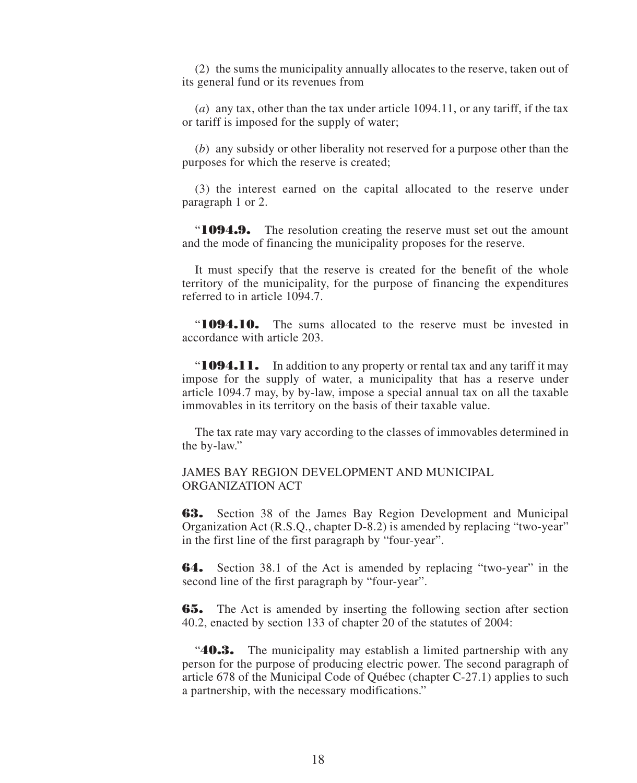(2) the sums the municipality annually allocates to the reserve, taken out of its general fund or its revenues from

(*a*) any tax, other than the tax under article 1094.11, or any tariff, if the tax or tariff is imposed for the supply of water;

(*b*) any subsidy or other liberality not reserved for a purpose other than the purposes for which the reserve is created;

(3) the interest earned on the capital allocated to the reserve under paragraph 1 or 2.

"**1094.9.** The resolution creating the reserve must set out the amount and the mode of financing the municipality proposes for the reserve.

It must specify that the reserve is created for the benefit of the whole territory of the municipality, for the purpose of financing the expenditures referred to in article 1094.7.

"**1094.10.** The sums allocated to the reserve must be invested in accordance with article 203.

"**1094.11.** In addition to any property or rental tax and any tariff it may impose for the supply of water, a municipality that has a reserve under article 1094.7 may, by by-law, impose a special annual tax on all the taxable immovables in its territory on the basis of their taxable value.

The tax rate may vary according to the classes of immovables determined in the by-law."

JAMES BAY REGION DEVELOPMENT AND MUNICIPAL ORGANIZATION ACT

**63.** Section 38 of the James Bay Region Development and Municipal Organization Act (R.S.Q., chapter D-8.2) is amended by replacing "two-year" in the first line of the first paragraph by "four-year".

**64.** Section 38.1 of the Act is amended by replacing "two-year" in the second line of the first paragraph by "four-year".

**65.** The Act is amended by inserting the following section after section 40.2, enacted by section 133 of chapter 20 of the statutes of 2004:

"**40.3.** The municipality may establish a limited partnership with any person for the purpose of producing electric power. The second paragraph of article 678 of the Municipal Code of Québec (chapter C-27.1) applies to such a partnership, with the necessary modifications."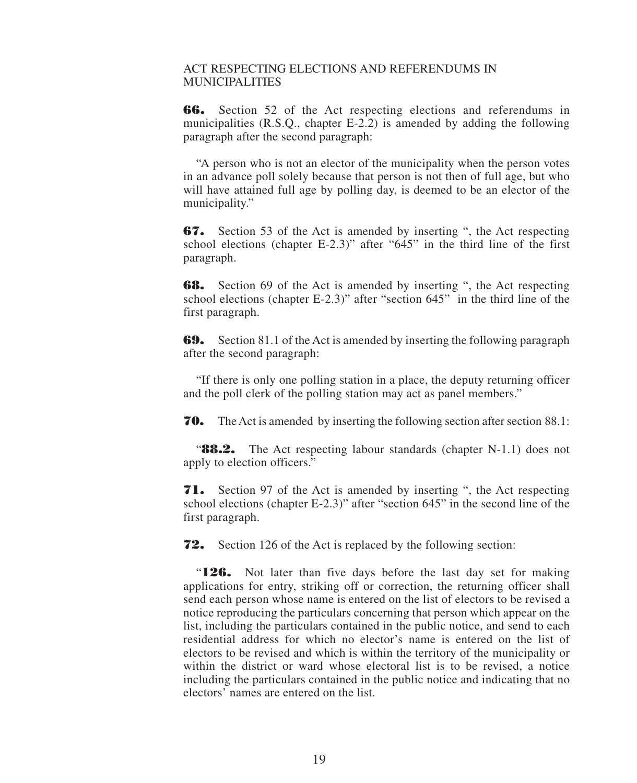#### ACT RESPECTING ELECTIONS AND REFERENDUMS IN MUNICIPALITIES

**66.** Section 52 of the Act respecting elections and referendums in municipalities (R.S.Q., chapter E-2.2) is amended by adding the following paragraph after the second paragraph:

"A person who is not an elector of the municipality when the person votes in an advance poll solely because that person is not then of full age, but who will have attained full age by polling day, is deemed to be an elector of the municipality."

**67.** Section 53 of the Act is amended by inserting ", the Act respecting school elections (chapter E-2.3)" after "645" in the third line of the first paragraph.

**68.** Section 69 of the Act is amended by inserting ", the Act respecting school elections (chapter E-2.3)" after "section 645" in the third line of the first paragraph.

**69.** Section 81.1 of the Act is amended by inserting the following paragraph after the second paragraph:

"If there is only one polling station in a place, the deputy returning officer and the poll clerk of the polling station may act as panel members."

**70.** The Act is amended by inserting the following section after section 88.1:

**88.2.** The Act respecting labour standards (chapter N-1.1) does not apply to election officers."

**71.** Section 97 of the Act is amended by inserting ", the Act respecting school elections (chapter E-2.3)" after "section 645" in the second line of the first paragraph.

**72.** Section 126 of the Act is replaced by the following section:

"**126.** Not later than five days before the last day set for making applications for entry, striking off or correction, the returning officer shall send each person whose name is entered on the list of electors to be revised a notice reproducing the particulars concerning that person which appear on the list, including the particulars contained in the public notice, and send to each residential address for which no elector's name is entered on the list of electors to be revised and which is within the territory of the municipality or within the district or ward whose electoral list is to be revised, a notice including the particulars contained in the public notice and indicating that no electors' names are entered on the list.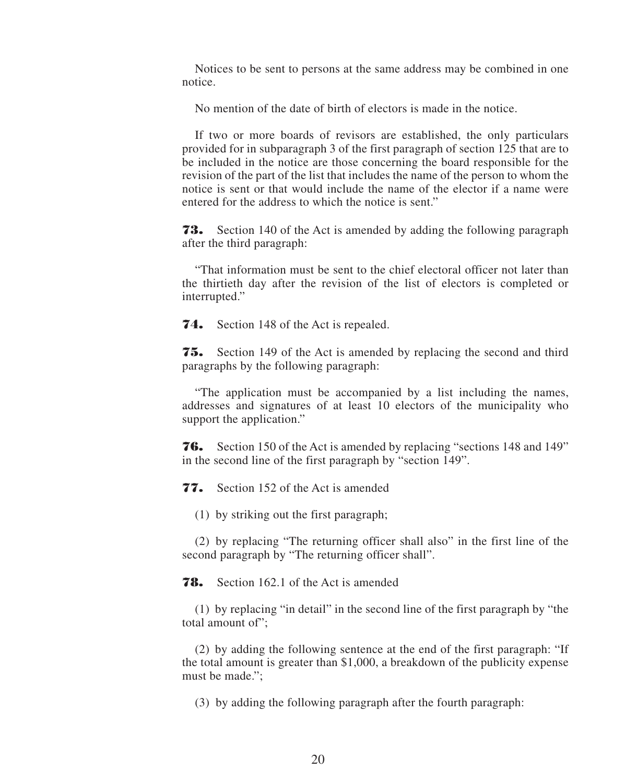Notices to be sent to persons at the same address may be combined in one notice.

No mention of the date of birth of electors is made in the notice.

If two or more boards of revisors are established, the only particulars provided for in subparagraph 3 of the first paragraph of section 125 that are to be included in the notice are those concerning the board responsible for the revision of the part of the list that includes the name of the person to whom the notice is sent or that would include the name of the elector if a name were entered for the address to which the notice is sent."

**73.** Section 140 of the Act is amended by adding the following paragraph after the third paragraph:

"That information must be sent to the chief electoral officer not later than the thirtieth day after the revision of the list of electors is completed or interrupted."

**74.** Section 148 of the Act is repealed.

**75.** Section 149 of the Act is amended by replacing the second and third paragraphs by the following paragraph:

"The application must be accompanied by a list including the names, addresses and signatures of at least 10 electors of the municipality who support the application."

**76.** Section 150 of the Act is amended by replacing "sections 148 and 149" in the second line of the first paragraph by "section 149".

**77.** Section 152 of the Act is amended

(1) by striking out the first paragraph;

(2) by replacing "The returning officer shall also" in the first line of the second paragraph by "The returning officer shall".

**78.** Section 162.1 of the Act is amended

(1) by replacing "in detail" in the second line of the first paragraph by "the total amount of";

(2) by adding the following sentence at the end of the first paragraph: "If the total amount is greater than \$1,000, a breakdown of the publicity expense must be made.";

(3) by adding the following paragraph after the fourth paragraph: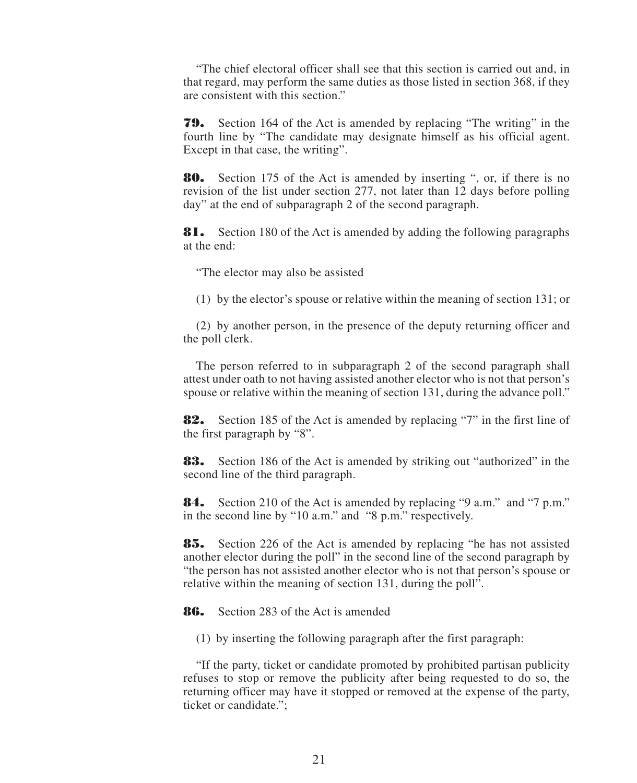"The chief electoral officer shall see that this section is carried out and, in that regard, may perform the same duties as those listed in section 368, if they are consistent with this section."

**79.** Section 164 of the Act is amended by replacing "The writing" in the fourth line by "The candidate may designate himself as his official agent. Except in that case, the writing".

**80.** Section 175 of the Act is amended by inserting ", or, if there is no revision of the list under section 277, not later than 12 days before polling day" at the end of subparagraph 2 of the second paragraph.

**81.** Section 180 of the Act is amended by adding the following paragraphs at the end:

"The elector may also be assisted

(1) by the elector's spouse or relative within the meaning of section 131; or

(2) by another person, in the presence of the deputy returning officer and the poll clerk.

The person referred to in subparagraph 2 of the second paragraph shall attest under oath to not having assisted another elector who is not that person's spouse or relative within the meaning of section 131, during the advance poll."

**82.** Section 185 of the Act is amended by replacing "7" in the first line of the first paragraph by "8".

**83.** Section 186 of the Act is amended by striking out "authorized" in the second line of the third paragraph.

**84.** Section 210 of the Act is amended by replacing "9 a.m." and "7 p.m." in the second line by "10 a.m." and "8 p.m." respectively.

**85.** Section 226 of the Act is amended by replacing "he has not assisted another elector during the poll" in the second line of the second paragraph by "the person has not assisted another elector who is not that person's spouse or relative within the meaning of section 131, during the poll".

**86.** Section 283 of the Act is amended

(1) by inserting the following paragraph after the first paragraph:

"If the party, ticket or candidate promoted by prohibited partisan publicity refuses to stop or remove the publicity after being requested to do so, the returning officer may have it stopped or removed at the expense of the party, ticket or candidate.";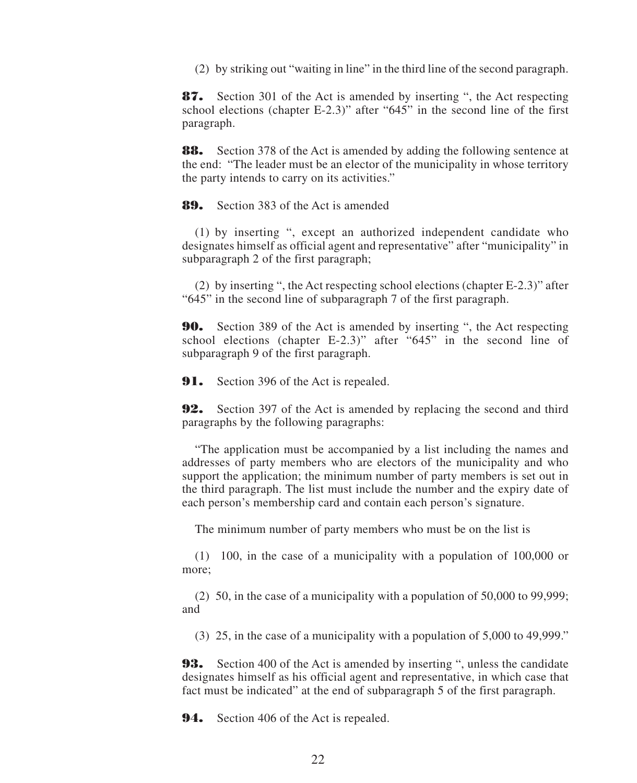(2) by striking out "waiting in line" in the third line of the second paragraph.

**87.** Section 301 of the Act is amended by inserting ", the Act respecting school elections (chapter E-2.3)" after "645" in the second line of the first paragraph.

**88.** Section 378 of the Act is amended by adding the following sentence at the end: "The leader must be an elector of the municipality in whose territory the party intends to carry on its activities."

**89.** Section 383 of the Act is amended

(1) by inserting ", except an authorized independent candidate who designates himself as official agent and representative" after "municipality" in subparagraph 2 of the first paragraph;

(2) by inserting ", the Act respecting school elections (chapter E-2.3)" after "645" in the second line of subparagraph 7 of the first paragraph.

**90.** Section 389 of the Act is amended by inserting ", the Act respecting school elections (chapter E-2.3)" after "645" in the second line of subparagraph 9 of the first paragraph.

**91.** Section 396 of the Act is repealed.

**92.** Section 397 of the Act is amended by replacing the second and third paragraphs by the following paragraphs:

"The application must be accompanied by a list including the names and addresses of party members who are electors of the municipality and who support the application; the minimum number of party members is set out in the third paragraph. The list must include the number and the expiry date of each person's membership card and contain each person's signature.

The minimum number of party members who must be on the list is

(1) 100, in the case of a municipality with a population of 100,000 or more;

(2) 50, in the case of a municipality with a population of 50,000 to 99,999; and

(3) 25, in the case of a municipality with a population of 5,000 to 49,999."

**93.** Section 400 of the Act is amended by inserting ", unless the candidate designates himself as his official agent and representative, in which case that fact must be indicated" at the end of subparagraph 5 of the first paragraph.

**94.** Section 406 of the Act is repealed.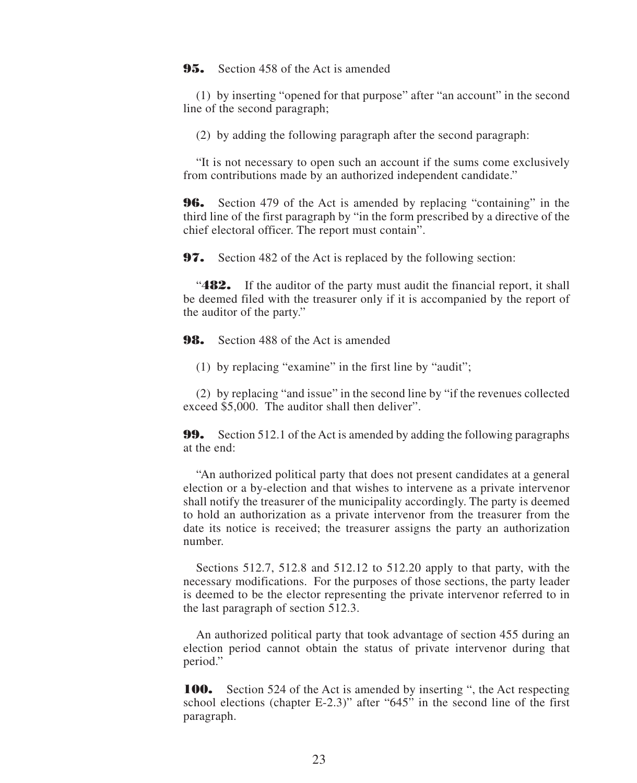**95.** Section 458 of the Act is amended

(1) by inserting "opened for that purpose" after "an account" in the second line of the second paragraph;

(2) by adding the following paragraph after the second paragraph:

"It is not necessary to open such an account if the sums come exclusively from contributions made by an authorized independent candidate."

**96.** Section 479 of the Act is amended by replacing "containing" in the third line of the first paragraph by "in the form prescribed by a directive of the chief electoral officer. The report must contain".

**97.** Section 482 of the Act is replaced by the following section:

**482.** If the auditor of the party must audit the financial report, it shall be deemed filed with the treasurer only if it is accompanied by the report of the auditor of the party."

**98.** Section 488 of the Act is amended

(1) by replacing "examine" in the first line by "audit";

(2) by replacing "and issue" in the second line by "if the revenues collected exceed \$5,000. The auditor shall then deliver".

**99.** Section 512.1 of the Act is amended by adding the following paragraphs at the end:

"An authorized political party that does not present candidates at a general election or a by-election and that wishes to intervene as a private intervenor shall notify the treasurer of the municipality accordingly. The party is deemed to hold an authorization as a private intervenor from the treasurer from the date its notice is received; the treasurer assigns the party an authorization number.

Sections 512.7, 512.8 and 512.12 to 512.20 apply to that party, with the necessary modifications. For the purposes of those sections, the party leader is deemed to be the elector representing the private intervenor referred to in the last paragraph of section 512.3.

An authorized political party that took advantage of section 455 during an election period cannot obtain the status of private intervenor during that period."

**100.** Section 524 of the Act is amended by inserting ", the Act respecting school elections (chapter E-2.3)" after "645" in the second line of the first paragraph.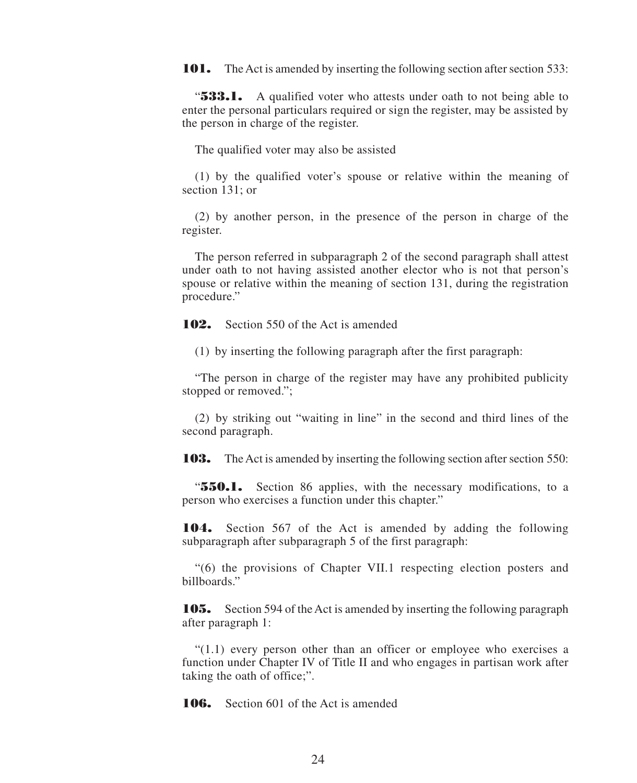**101.** The Act is amended by inserting the following section after section 533:

**533.1.** A qualified voter who attests under oath to not being able to enter the personal particulars required or sign the register, may be assisted by the person in charge of the register.

The qualified voter may also be assisted

(1) by the qualified voter's spouse or relative within the meaning of section 131; or

(2) by another person, in the presence of the person in charge of the register.

The person referred in subparagraph 2 of the second paragraph shall attest under oath to not having assisted another elector who is not that person's spouse or relative within the meaning of section 131, during the registration procedure."

**102.** Section 550 of the Act is amended

(1) by inserting the following paragraph after the first paragraph:

"The person in charge of the register may have any prohibited publicity stopped or removed.";

(2) by striking out "waiting in line" in the second and third lines of the second paragraph.

**103.** The Act is amended by inserting the following section after section 550:

"**550.1.** Section 86 applies, with the necessary modifications, to a person who exercises a function under this chapter."

**104.** Section 567 of the Act is amended by adding the following subparagraph after subparagraph 5 of the first paragraph:

"(6) the provisions of Chapter VII.1 respecting election posters and billboards."

**105.** Section 594 of the Act is amended by inserting the following paragraph after paragraph 1:

 $(1.1)$  every person other than an officer or employee who exercises a function under Chapter IV of Title II and who engages in partisan work after taking the oath of office;".

**106.** Section 601 of the Act is amended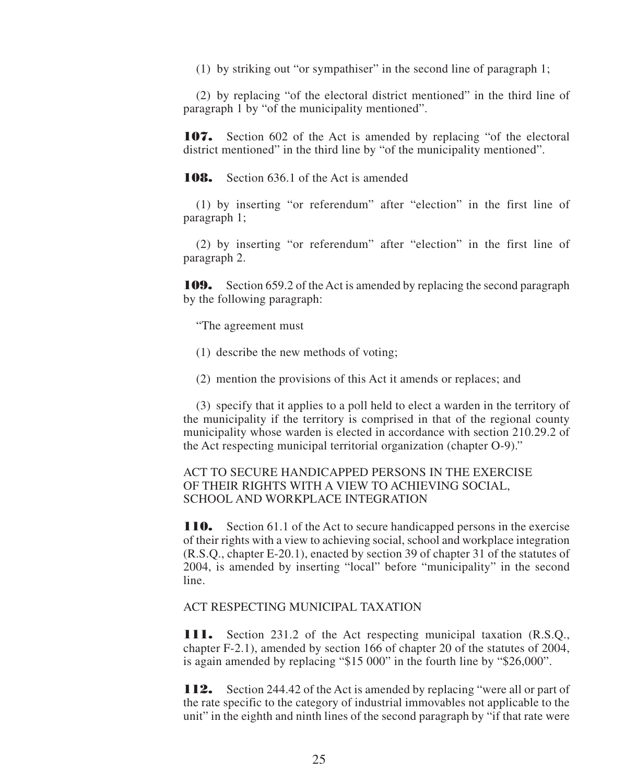(1) by striking out "or sympathiser" in the second line of paragraph 1;

(2) by replacing "of the electoral district mentioned" in the third line of paragraph 1 by "of the municipality mentioned".

**107.** Section 602 of the Act is amended by replacing "of the electoral district mentioned" in the third line by "of the municipality mentioned".

**108.** Section 636.1 of the Act is amended

(1) by inserting "or referendum" after "election" in the first line of paragraph 1;

(2) by inserting "or referendum" after "election" in the first line of paragraph 2.

**109.** Section 659.2 of the Act is amended by replacing the second paragraph by the following paragraph:

"The agreement must

- (1) describe the new methods of voting;
- (2) mention the provisions of this Act it amends or replaces; and

(3) specify that it applies to a poll held to elect a warden in the territory of the municipality if the territory is comprised in that of the regional county municipality whose warden is elected in accordance with section 210.29.2 of the Act respecting municipal territorial organization (chapter O-9)."

#### ACT TO SECURE HANDICAPPED PERSONS IN THE EXERCISE OF THEIR RIGHTS WITH A VIEW TO ACHIEVING SOCIAL, SCHOOL AND WORKPLACE INTEGRATION

**110.** Section 61.1 of the Act to secure handicapped persons in the exercise of their rights with a view to achieving social, school and workplace integration (R.S.Q., chapter E-20.1), enacted by section 39 of chapter 31 of the statutes of 2004, is amended by inserting "local" before "municipality" in the second line.

#### ACT RESPECTING MUNICIPAL TAXATION

**111.** Section 231.2 of the Act respecting municipal taxation (R.S.Q., chapter F-2.1), amended by section 166 of chapter 20 of the statutes of 2004, is again amended by replacing "\$15 000" in the fourth line by "\$26,000".

**112.** Section 244.42 of the Act is amended by replacing "were all or part of the rate specific to the category of industrial immovables not applicable to the unit" in the eighth and ninth lines of the second paragraph by "if that rate were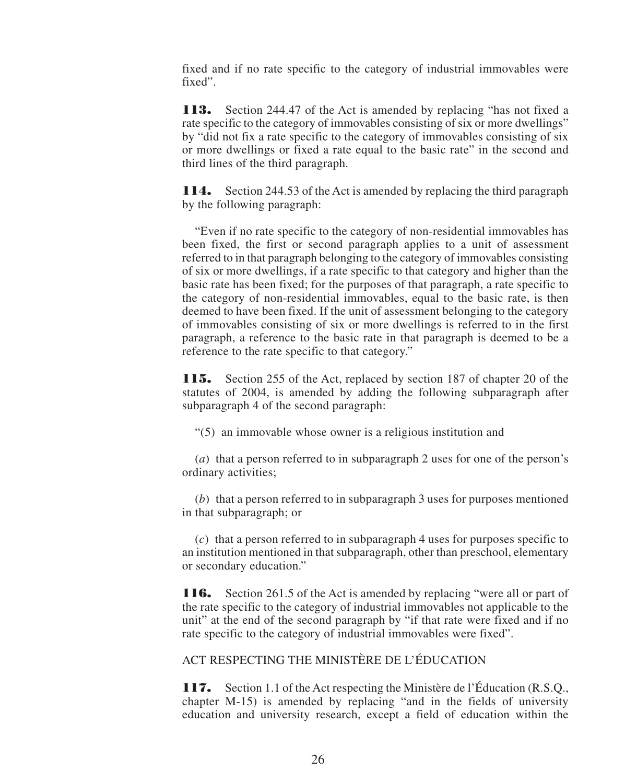fixed and if no rate specific to the category of industrial immovables were fixed".

**113.** Section 244.47 of the Act is amended by replacing "has not fixed a rate specific to the category of immovables consisting of six or more dwellings" by "did not fix a rate specific to the category of immovables consisting of six or more dwellings or fixed a rate equal to the basic rate" in the second and third lines of the third paragraph.

**114.** Section 244.53 of the Act is amended by replacing the third paragraph by the following paragraph:

"Even if no rate specific to the category of non-residential immovables has been fixed, the first or second paragraph applies to a unit of assessment referred to in that paragraph belonging to the category of immovables consisting of six or more dwellings, if a rate specific to that category and higher than the basic rate has been fixed; for the purposes of that paragraph, a rate specific to the category of non-residential immovables, equal to the basic rate, is then deemed to have been fixed. If the unit of assessment belonging to the category of immovables consisting of six or more dwellings is referred to in the first paragraph, a reference to the basic rate in that paragraph is deemed to be a reference to the rate specific to that category."

**115.** Section 255 of the Act, replaced by section 187 of chapter 20 of the statutes of 2004, is amended by adding the following subparagraph after subparagraph 4 of the second paragraph:

"(5) an immovable whose owner is a religious institution and

(*a*) that a person referred to in subparagraph 2 uses for one of the person's ordinary activities;

(*b*) that a person referred to in subparagraph 3 uses for purposes mentioned in that subparagraph; or

(*c*) that a person referred to in subparagraph 4 uses for purposes specific to an institution mentioned in that subparagraph, other than preschool, elementary or secondary education."

**116.** Section 261.5 of the Act is amended by replacing "were all or part of the rate specific to the category of industrial immovables not applicable to the unit" at the end of the second paragraph by "if that rate were fixed and if no rate specific to the category of industrial immovables were fixed".

ACT RESPECTING THE MINISTÈRE DE L'ÉDUCATION

**117.** Section 1.1 of the Act respecting the Ministère de l'Éducation (R.S.Q., chapter M-15) is amended by replacing "and in the fields of university education and university research, except a field of education within the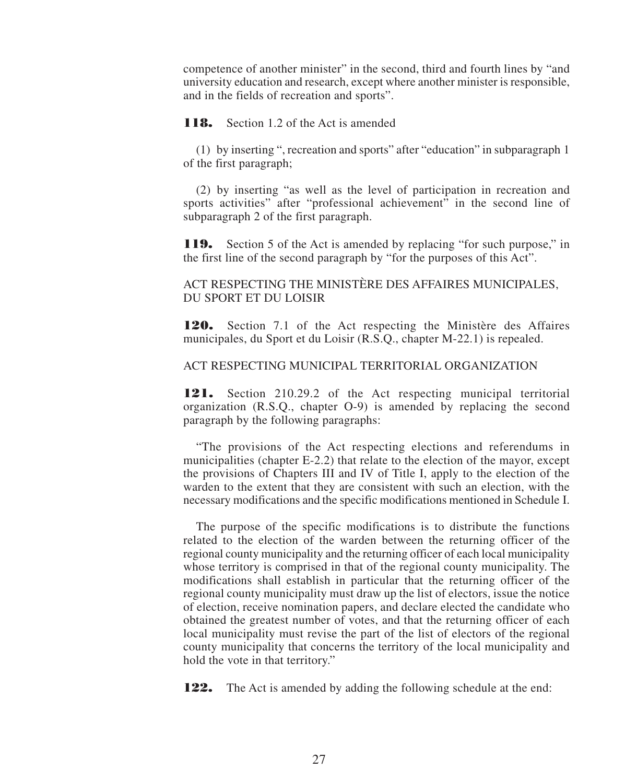competence of another minister" in the second, third and fourth lines by "and university education and research, except where another minister is responsible, and in the fields of recreation and sports".

**118.** Section 1.2 of the Act is amended

(1) by inserting ", recreation and sports" after "education" in subparagraph 1 of the first paragraph;

(2) by inserting "as well as the level of participation in recreation and sports activities" after "professional achievement" in the second line of subparagraph 2 of the first paragraph.

**119.** Section 5 of the Act is amended by replacing "for such purpose," in the first line of the second paragraph by "for the purposes of this Act".

#### ACT RESPECTING THE MINISTÈRE DES AFFAIRES MUNICIPALES, DU SPORT ET DU LOISIR

**120.** Section 7.1 of the Act respecting the Ministère des Affaires municipales, du Sport et du Loisir (R.S.Q., chapter M-22.1) is repealed.

#### ACT RESPECTING MUNICIPAL TERRITORIAL ORGANIZATION

**121.** Section 210.29.2 of the Act respecting municipal territorial organization (R.S.Q., chapter O-9) is amended by replacing the second paragraph by the following paragraphs:

"The provisions of the Act respecting elections and referendums in municipalities (chapter E-2.2) that relate to the election of the mayor, except the provisions of Chapters III and IV of Title I, apply to the election of the warden to the extent that they are consistent with such an election, with the necessary modifications and the specific modifications mentioned in Schedule I.

The purpose of the specific modifications is to distribute the functions related to the election of the warden between the returning officer of the regional county municipality and the returning officer of each local municipality whose territory is comprised in that of the regional county municipality. The modifications shall establish in particular that the returning officer of the regional county municipality must draw up the list of electors, issue the notice of election, receive nomination papers, and declare elected the candidate who obtained the greatest number of votes, and that the returning officer of each local municipality must revise the part of the list of electors of the regional county municipality that concerns the territory of the local municipality and hold the vote in that territory."

**122.** The Act is amended by adding the following schedule at the end: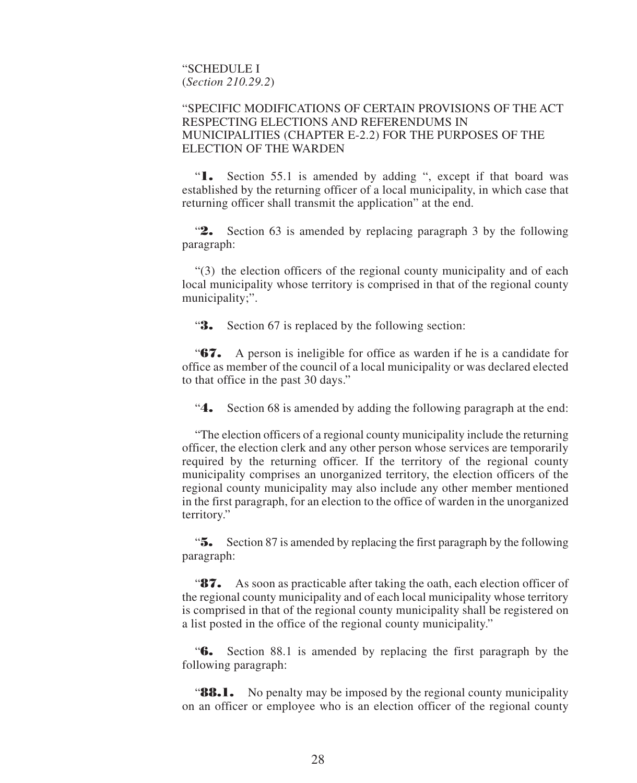"SCHEDULE I (*Section 210.29.2*)

#### "SPECIFIC MODIFICATIONS OF CERTAIN PROVISIONS OF THE ACT RESPECTING ELECTIONS AND REFERENDUMS IN MUNICIPALITIES (CHAPTER E-2.2) FOR THE PURPOSES OF THE ELECTION OF THE WARDEN

"**1.** Section 55.1 is amended by adding ", except if that board was established by the returning officer of a local municipality, in which case that returning officer shall transmit the application" at the end.

"**2.** Section 63 is amended by replacing paragraph 3 by the following paragraph:

"(3) the election officers of the regional county municipality and of each local municipality whose territory is comprised in that of the regional county municipality;".

"**3.** Section 67 is replaced by the following section:

"**67.** A person is ineligible for office as warden if he is a candidate for office as member of the council of a local municipality or was declared elected to that office in the past 30 days."

"**4.** Section 68 is amended by adding the following paragraph at the end:

"The election officers of a regional county municipality include the returning officer, the election clerk and any other person whose services are temporarily required by the returning officer. If the territory of the regional county municipality comprises an unorganized territory, the election officers of the regional county municipality may also include any other member mentioned in the first paragraph, for an election to the office of warden in the unorganized territory."

"**5.** Section 87 is amended by replacing the first paragraph by the following paragraph:

"**87.** As soon as practicable after taking the oath, each election officer of the regional county municipality and of each local municipality whose territory is comprised in that of the regional county municipality shall be registered on a list posted in the office of the regional county municipality."

"**6.** Section 88.1 is amended by replacing the first paragraph by the following paragraph:

**88.1.** No penalty may be imposed by the regional county municipality on an officer or employee who is an election officer of the regional county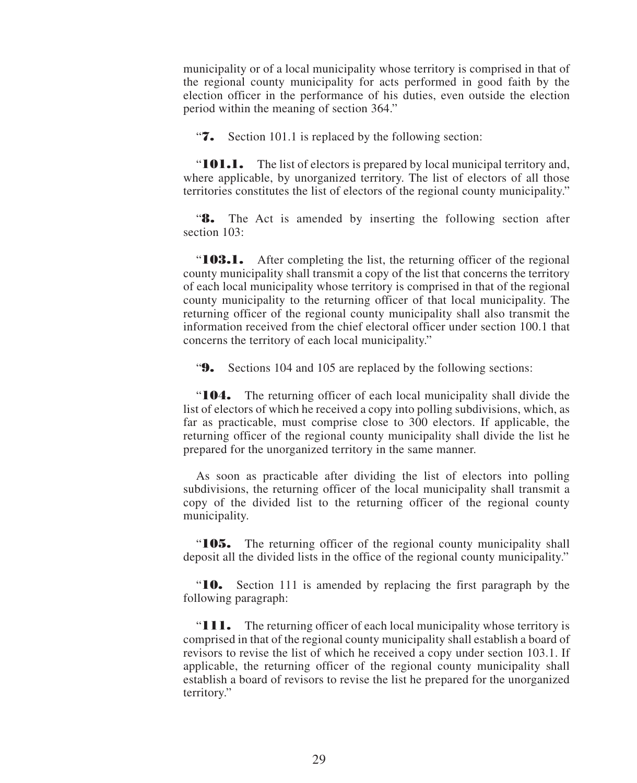municipality or of a local municipality whose territory is comprised in that of the regional county municipality for acts performed in good faith by the election officer in the performance of his duties, even outside the election period within the meaning of section 364."

"**7.** Section 101.1 is replaced by the following section:

"**101.1.** The list of electors is prepared by local municipal territory and, where applicable, by unorganized territory. The list of electors of all those territories constitutes the list of electors of the regional county municipality."

"**8.** The Act is amended by inserting the following section after section 103:

"**103.1.** After completing the list, the returning officer of the regional county municipality shall transmit a copy of the list that concerns the territory of each local municipality whose territory is comprised in that of the regional county municipality to the returning officer of that local municipality. The returning officer of the regional county municipality shall also transmit the information received from the chief electoral officer under section 100.1 that concerns the territory of each local municipality."

"**9.** Sections 104 and 105 are replaced by the following sections:

"**104.** The returning officer of each local municipality shall divide the list of electors of which he received a copy into polling subdivisions, which, as far as practicable, must comprise close to 300 electors. If applicable, the returning officer of the regional county municipality shall divide the list he prepared for the unorganized territory in the same manner.

As soon as practicable after dividing the list of electors into polling subdivisions, the returning officer of the local municipality shall transmit a copy of the divided list to the returning officer of the regional county municipality.

"**105.** The returning officer of the regional county municipality shall deposit all the divided lists in the office of the regional county municipality."

"**10.** Section 111 is amended by replacing the first paragraph by the following paragraph:

"**111.** The returning officer of each local municipality whose territory is comprised in that of the regional county municipality shall establish a board of revisors to revise the list of which he received a copy under section 103.1. If applicable, the returning officer of the regional county municipality shall establish a board of revisors to revise the list he prepared for the unorganized territory."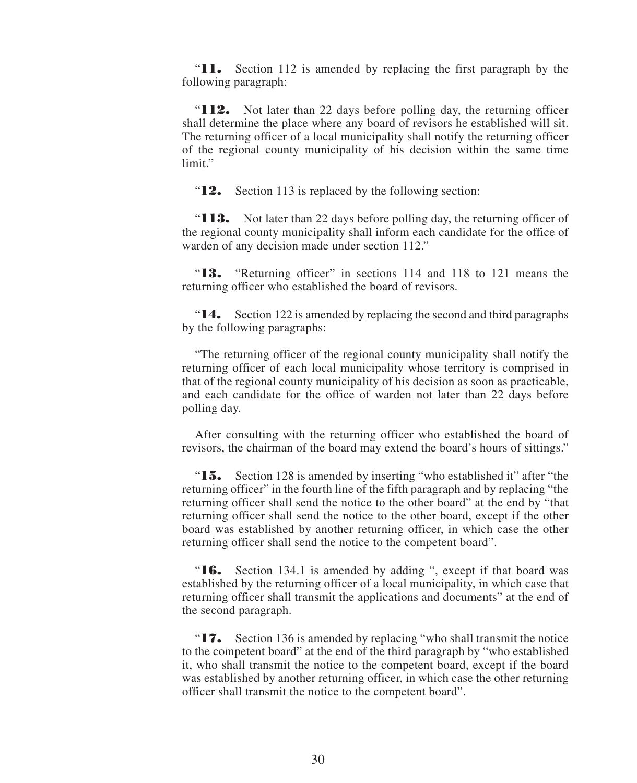"**11.** Section 112 is amended by replacing the first paragraph by the following paragraph:

"**112.** Not later than 22 days before polling day, the returning officer shall determine the place where any board of revisors he established will sit. The returning officer of a local municipality shall notify the returning officer of the regional county municipality of his decision within the same time limit."

"**12.** Section 113 is replaced by the following section:

"**113.** Not later than 22 days before polling day, the returning officer of the regional county municipality shall inform each candidate for the office of warden of any decision made under section 112."

"**13.** "Returning officer" in sections 114 and 118 to 121 means the returning officer who established the board of revisors.

"**14.** Section 122 is amended by replacing the second and third paragraphs by the following paragraphs:

"The returning officer of the regional county municipality shall notify the returning officer of each local municipality whose territory is comprised in that of the regional county municipality of his decision as soon as practicable, and each candidate for the office of warden not later than 22 days before polling day.

After consulting with the returning officer who established the board of revisors, the chairman of the board may extend the board's hours of sittings."

"**15.** Section 128 is amended by inserting "who established it" after "the returning officer" in the fourth line of the fifth paragraph and by replacing "the returning officer shall send the notice to the other board" at the end by "that returning officer shall send the notice to the other board, except if the other board was established by another returning officer, in which case the other returning officer shall send the notice to the competent board".

"**16.** Section 134.1 is amended by adding ", except if that board was established by the returning officer of a local municipality, in which case that returning officer shall transmit the applications and documents" at the end of the second paragraph.

"**17.** Section 136 is amended by replacing "who shall transmit the notice to the competent board" at the end of the third paragraph by "who established it, who shall transmit the notice to the competent board, except if the board was established by another returning officer, in which case the other returning officer shall transmit the notice to the competent board".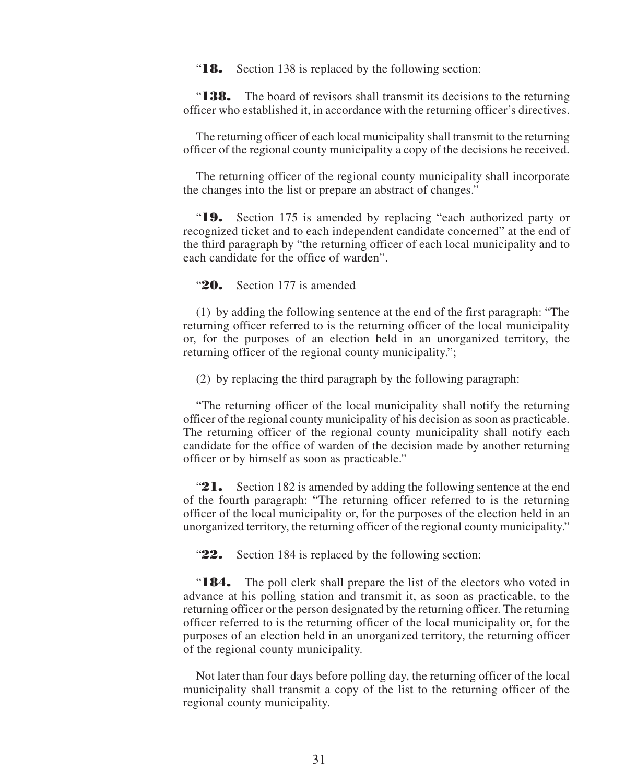"**18.** Section 138 is replaced by the following section:

"**138.** The board of revisors shall transmit its decisions to the returning officer who established it, in accordance with the returning officer's directives.

The returning officer of each local municipality shall transmit to the returning officer of the regional county municipality a copy of the decisions he received.

The returning officer of the regional county municipality shall incorporate the changes into the list or prepare an abstract of changes."

"**19.** Section 175 is amended by replacing "each authorized party or recognized ticket and to each independent candidate concerned" at the end of the third paragraph by "the returning officer of each local municipality and to each candidate for the office of warden".

"**20.** Section 177 is amended

(1) by adding the following sentence at the end of the first paragraph: "The returning officer referred to is the returning officer of the local municipality or, for the purposes of an election held in an unorganized territory, the returning officer of the regional county municipality.";

(2) by replacing the third paragraph by the following paragraph:

"The returning officer of the local municipality shall notify the returning officer of the regional county municipality of his decision as soon as practicable. The returning officer of the regional county municipality shall notify each candidate for the office of warden of the decision made by another returning officer or by himself as soon as practicable."

"**21.** Section 182 is amended by adding the following sentence at the end of the fourth paragraph: "The returning officer referred to is the returning officer of the local municipality or, for the purposes of the election held in an unorganized territory, the returning officer of the regional county municipality."

"**22.** Section 184 is replaced by the following section:

"**184.** The poll clerk shall prepare the list of the electors who voted in advance at his polling station and transmit it, as soon as practicable, to the returning officer or the person designated by the returning officer. The returning officer referred to is the returning officer of the local municipality or, for the purposes of an election held in an unorganized territory, the returning officer of the regional county municipality.

Not later than four days before polling day, the returning officer of the local municipality shall transmit a copy of the list to the returning officer of the regional county municipality.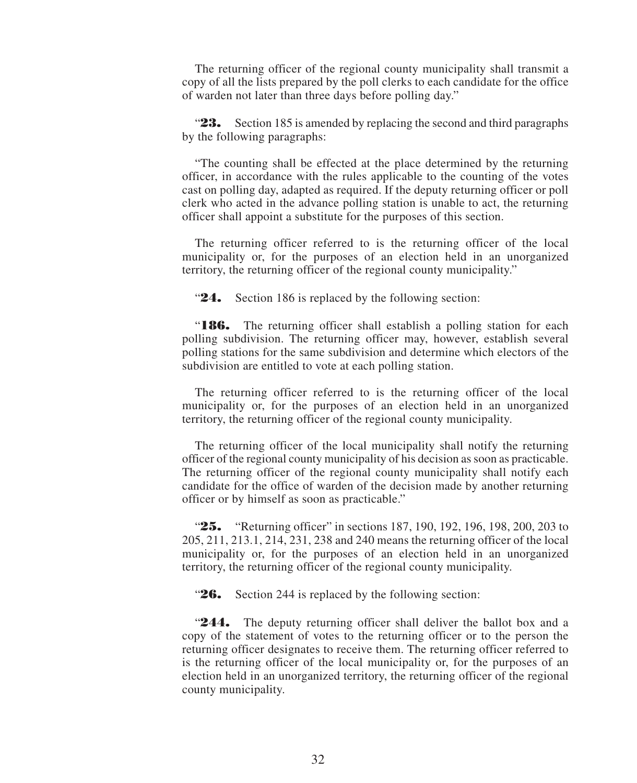The returning officer of the regional county municipality shall transmit a copy of all the lists prepared by the poll clerks to each candidate for the office of warden not later than three days before polling day."

"**23.** Section 185 is amended by replacing the second and third paragraphs by the following paragraphs:

"The counting shall be effected at the place determined by the returning officer, in accordance with the rules applicable to the counting of the votes cast on polling day, adapted as required. If the deputy returning officer or poll clerk who acted in the advance polling station is unable to act, the returning officer shall appoint a substitute for the purposes of this section.

The returning officer referred to is the returning officer of the local municipality or, for the purposes of an election held in an unorganized territory, the returning officer of the regional county municipality."

"**24.** Section 186 is replaced by the following section:

"**186.** The returning officer shall establish a polling station for each polling subdivision. The returning officer may, however, establish several polling stations for the same subdivision and determine which electors of the subdivision are entitled to vote at each polling station.

The returning officer referred to is the returning officer of the local municipality or, for the purposes of an election held in an unorganized territory, the returning officer of the regional county municipality.

The returning officer of the local municipality shall notify the returning officer of the regional county municipality of his decision as soon as practicable. The returning officer of the regional county municipality shall notify each candidate for the office of warden of the decision made by another returning officer or by himself as soon as practicable."

**25.** "Returning officer" in sections 187, 190, 192, 196, 198, 200, 203 to 205, 211, 213.1, 214, 231, 238 and 240 means the returning officer of the local municipality or, for the purposes of an election held in an unorganized territory, the returning officer of the regional county municipality.

"**26.** Section 244 is replaced by the following section:

"**244.** The deputy returning officer shall deliver the ballot box and a copy of the statement of votes to the returning officer or to the person the returning officer designates to receive them. The returning officer referred to is the returning officer of the local municipality or, for the purposes of an election held in an unorganized territory, the returning officer of the regional county municipality.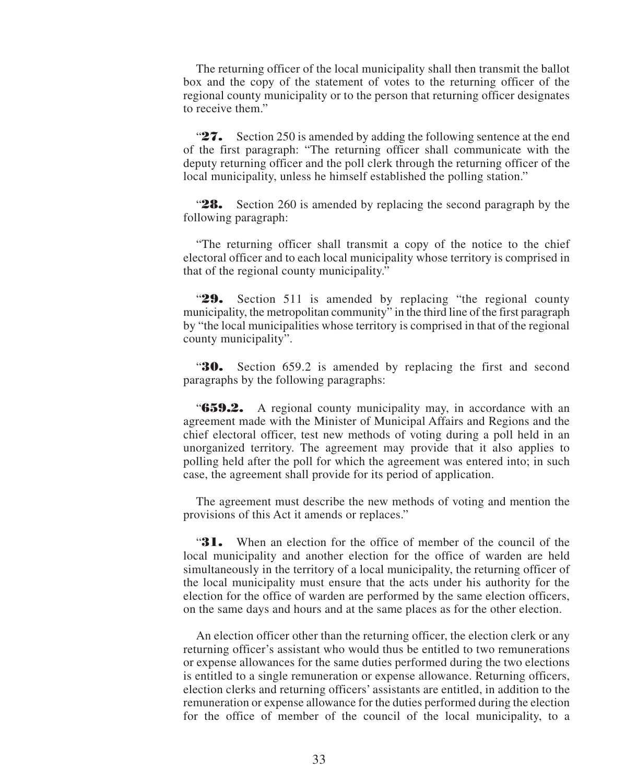The returning officer of the local municipality shall then transmit the ballot box and the copy of the statement of votes to the returning officer of the regional county municipality or to the person that returning officer designates to receive them."

"**27.** Section 250 is amended by adding the following sentence at the end of the first paragraph: "The returning officer shall communicate with the deputy returning officer and the poll clerk through the returning officer of the local municipality, unless he himself established the polling station."

"**28.** Section 260 is amended by replacing the second paragraph by the following paragraph:

"The returning officer shall transmit a copy of the notice to the chief electoral officer and to each local municipality whose territory is comprised in that of the regional county municipality."

"**29.** Section 511 is amended by replacing "the regional county municipality, the metropolitan community" in the third line of the first paragraph by "the local municipalities whose territory is comprised in that of the regional county municipality".

"**30.** Section 659.2 is amended by replacing the first and second paragraphs by the following paragraphs:

"**659.2.** A regional county municipality may, in accordance with an agreement made with the Minister of Municipal Affairs and Regions and the chief electoral officer, test new methods of voting during a poll held in an unorganized territory. The agreement may provide that it also applies to polling held after the poll for which the agreement was entered into; in such case, the agreement shall provide for its period of application.

The agreement must describe the new methods of voting and mention the provisions of this Act it amends or replaces."

"**31.** When an election for the office of member of the council of the local municipality and another election for the office of warden are held simultaneously in the territory of a local municipality, the returning officer of the local municipality must ensure that the acts under his authority for the election for the office of warden are performed by the same election officers, on the same days and hours and at the same places as for the other election.

An election officer other than the returning officer, the election clerk or any returning officer's assistant who would thus be entitled to two remunerations or expense allowances for the same duties performed during the two elections is entitled to a single remuneration or expense allowance. Returning officers, election clerks and returning officers' assistants are entitled, in addition to the remuneration or expense allowance for the duties performed during the election for the office of member of the council of the local municipality, to a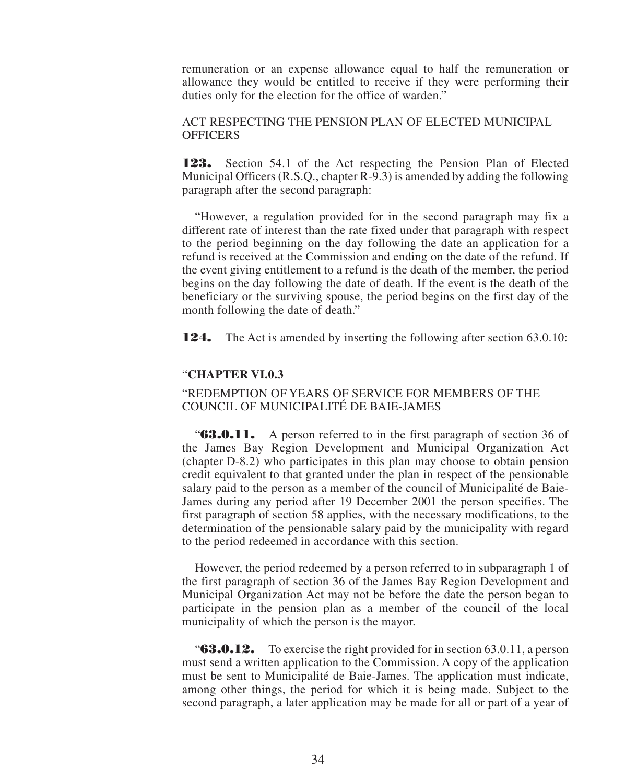remuneration or an expense allowance equal to half the remuneration or allowance they would be entitled to receive if they were performing their duties only for the election for the office of warden."

ACT RESPECTING THE PENSION PLAN OF ELECTED MUNICIPAL **OFFICERS** 

**123.** Section 54.1 of the Act respecting the Pension Plan of Elected Municipal Officers (R.S.Q., chapter R-9.3) is amended by adding the following paragraph after the second paragraph:

"However, a regulation provided for in the second paragraph may fix a different rate of interest than the rate fixed under that paragraph with respect to the period beginning on the day following the date an application for a refund is received at the Commission and ending on the date of the refund. If the event giving entitlement to a refund is the death of the member, the period begins on the day following the date of death. If the event is the death of the beneficiary or the surviving spouse, the period begins on the first day of the month following the date of death."

**124.** The Act is amended by inserting the following after section 63.0.10:

#### "**CHAPTER VI.0.3**

#### "REDEMPTION OF YEARS OF SERVICE FOR MEMBERS OF THE COUNCIL OF MUNICIPALITÉ DE BAIE-JAMES

"**63.0.11.** A person referred to in the first paragraph of section 36 of the James Bay Region Development and Municipal Organization Act (chapter D-8.2) who participates in this plan may choose to obtain pension credit equivalent to that granted under the plan in respect of the pensionable salary paid to the person as a member of the council of Municipalité de Baie-James during any period after 19 December 2001 the person specifies. The first paragraph of section 58 applies, with the necessary modifications, to the determination of the pensionable salary paid by the municipality with regard to the period redeemed in accordance with this section.

However, the period redeemed by a person referred to in subparagraph 1 of the first paragraph of section 36 of the James Bay Region Development and Municipal Organization Act may not be before the date the person began to participate in the pension plan as a member of the council of the local municipality of which the person is the mayor.

"**63.0.12.** To exercise the right provided for in section 63.0.11, a person must send a written application to the Commission. A copy of the application must be sent to Municipalité de Baie-James. The application must indicate, among other things, the period for which it is being made. Subject to the second paragraph, a later application may be made for all or part of a year of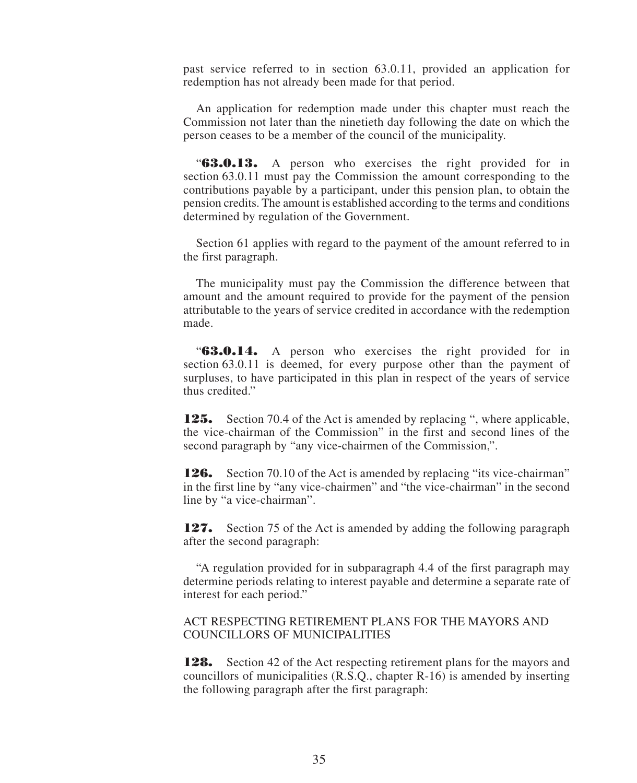past service referred to in section 63.0.11, provided an application for redemption has not already been made for that period.

An application for redemption made under this chapter must reach the Commission not later than the ninetieth day following the date on which the person ceases to be a member of the council of the municipality.

"**63.0.13.** A person who exercises the right provided for in section 63.0.11 must pay the Commission the amount corresponding to the contributions payable by a participant, under this pension plan, to obtain the pension credits. The amount is established according to the terms and conditions determined by regulation of the Government.

Section 61 applies with regard to the payment of the amount referred to in the first paragraph.

The municipality must pay the Commission the difference between that amount and the amount required to provide for the payment of the pension attributable to the years of service credited in accordance with the redemption made.

"**63.0.14.** A person who exercises the right provided for in section 63.0.11 is deemed, for every purpose other than the payment of surpluses, to have participated in this plan in respect of the years of service thus credited."

**125.** Section 70.4 of the Act is amended by replacing ", where applicable, the vice-chairman of the Commission" in the first and second lines of the second paragraph by "any vice-chairmen of the Commission,".

**126.** Section 70.10 of the Act is amended by replacing "its vice-chairman" in the first line by "any vice-chairmen" and "the vice-chairman" in the second line by "a vice-chairman".

**127.** Section 75 of the Act is amended by adding the following paragraph after the second paragraph:

"A regulation provided for in subparagraph 4.4 of the first paragraph may determine periods relating to interest payable and determine a separate rate of interest for each period."

ACT RESPECTING RETIREMENT PLANS FOR THE MAYORS AND COUNCILLORS OF MUNICIPALITIES

**128.** Section 42 of the Act respecting retirement plans for the mayors and councillors of municipalities (R.S.Q., chapter R-16) is amended by inserting the following paragraph after the first paragraph: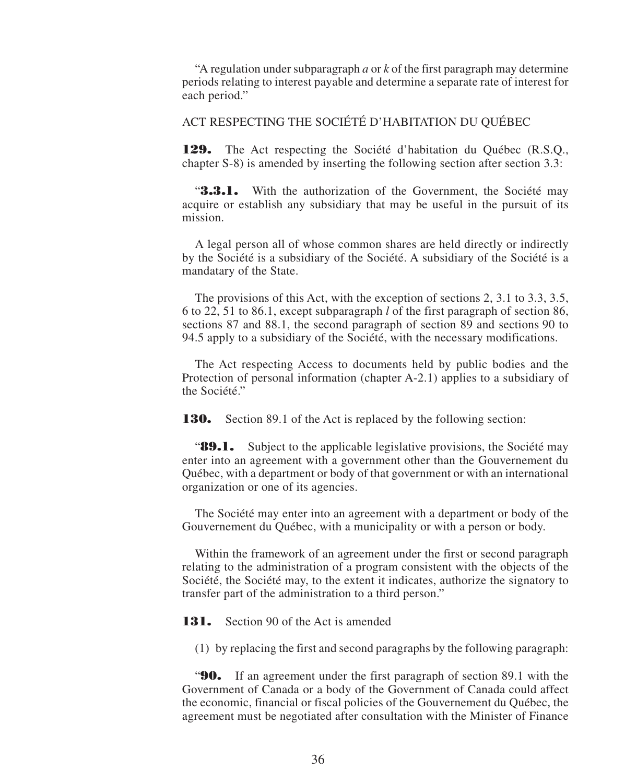"A regulation under subparagraph *a* or *k* of the first paragraph may determine periods relating to interest payable and determine a separate rate of interest for each period."

#### ACT RESPECTING THE SOCIÉTÉ D'HABITATION DU QUÉBEC

**129.** The Act respecting the Société d'habitation du Québec (R.S.Q., chapter S-8) is amended by inserting the following section after section 3.3:

**3.3.1.** With the authorization of the Government, the Société may acquire or establish any subsidiary that may be useful in the pursuit of its mission.

A legal person all of whose common shares are held directly or indirectly by the Société is a subsidiary of the Société. A subsidiary of the Société is a mandatary of the State.

The provisions of this Act, with the exception of sections 2, 3.1 to 3.3, 3.5, 6 to 22, 51 to 86.1, except subparagraph *l* of the first paragraph of section 86, sections 87 and 88.1, the second paragraph of section 89 and sections 90 to 94.5 apply to a subsidiary of the Société, with the necessary modifications.

The Act respecting Access to documents held by public bodies and the Protection of personal information (chapter A-2.1) applies to a subsidiary of the Société."

**130.** Section 89.1 of the Act is replaced by the following section:

"**89.1.** Subject to the applicable legislative provisions, the Société may enter into an agreement with a government other than the Gouvernement du Québec, with a department or body of that government or with an international organization or one of its agencies.

The Société may enter into an agreement with a department or body of the Gouvernement du Québec, with a municipality or with a person or body.

Within the framework of an agreement under the first or second paragraph relating to the administration of a program consistent with the objects of the Société, the Société may, to the extent it indicates, authorize the signatory to transfer part of the administration to a third person."

**131.** Section 90 of the Act is amended

(1) by replacing the first and second paragraphs by the following paragraph:

"**90.** If an agreement under the first paragraph of section 89.1 with the Government of Canada or a body of the Government of Canada could affect the economic, financial or fiscal policies of the Gouvernement du Québec, the agreement must be negotiated after consultation with the Minister of Finance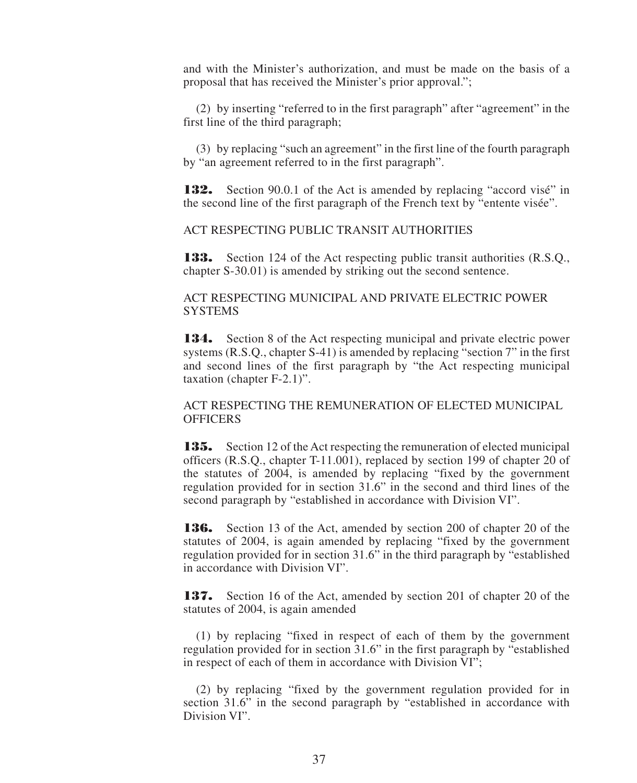and with the Minister's authorization, and must be made on the basis of a proposal that has received the Minister's prior approval.";

(2) by inserting "referred to in the first paragraph" after "agreement" in the first line of the third paragraph;

(3) by replacing "such an agreement" in the first line of the fourth paragraph by "an agreement referred to in the first paragraph".

**132.** Section 90.0.1 of the Act is amended by replacing "accord visé" in the second line of the first paragraph of the French text by "entente visée".

ACT RESPECTING PUBLIC TRANSIT AUTHORITIES

**133.** Section 124 of the Act respecting public transit authorities (R.S.Q., chapter S-30.01) is amended by striking out the second sentence.

#### ACT RESPECTING MUNICIPAL AND PRIVATE ELECTRIC POWER **SYSTEMS**

**134.** Section 8 of the Act respecting municipal and private electric power systems (R.S.Q., chapter S-41) is amended by replacing "section 7" in the first and second lines of the first paragraph by "the Act respecting municipal taxation (chapter F-2.1)".

#### ACT RESPECTING THE REMUNERATION OF ELECTED MUNICIPAL **OFFICERS**

**135.** Section 12 of the Act respecting the remuneration of elected municipal officers (R.S.Q., chapter T-11.001), replaced by section 199 of chapter 20 of the statutes of 2004, is amended by replacing "fixed by the government regulation provided for in section 31.6" in the second and third lines of the second paragraph by "established in accordance with Division VI".

**136.** Section 13 of the Act, amended by section 200 of chapter 20 of the statutes of 2004, is again amended by replacing "fixed by the government regulation provided for in section 31.6" in the third paragraph by "established in accordance with Division VI".

**137.** Section 16 of the Act, amended by section 201 of chapter 20 of the statutes of 2004, is again amended

(1) by replacing "fixed in respect of each of them by the government regulation provided for in section 31.6" in the first paragraph by "established in respect of each of them in accordance with Division VI";

(2) by replacing "fixed by the government regulation provided for in section 31.6" in the second paragraph by "established in accordance with Division VI".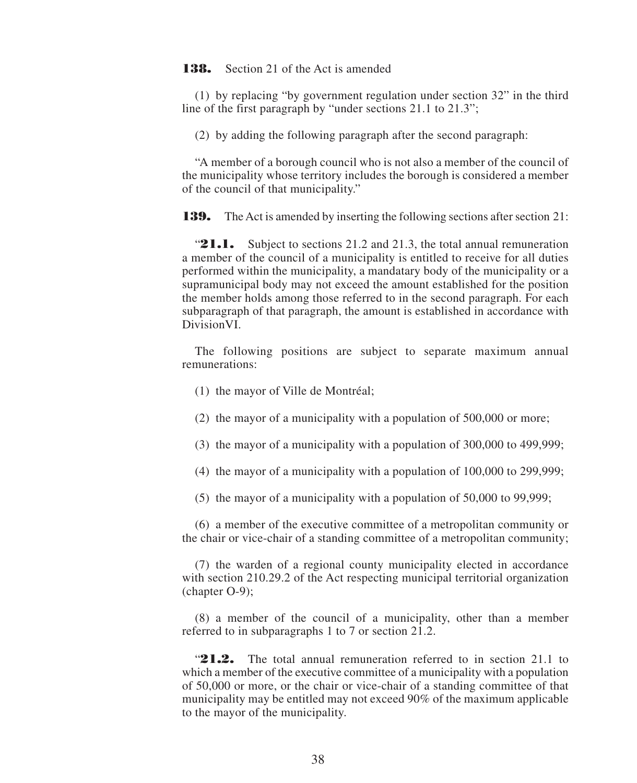**138.** Section 21 of the Act is amended

(1) by replacing "by government regulation under section 32" in the third line of the first paragraph by "under sections 21.1 to 21.3";

(2) by adding the following paragraph after the second paragraph:

"A member of a borough council who is not also a member of the council of the municipality whose territory includes the borough is considered a member of the council of that municipality."

**139.** The Act is amended by inserting the following sections after section 21:

**21.1.** Subject to sections 21.2 and 21.3, the total annual remuneration a member of the council of a municipality is entitled to receive for all duties performed within the municipality, a mandatary body of the municipality or a supramunicipal body may not exceed the amount established for the position the member holds among those referred to in the second paragraph. For each subparagraph of that paragraph, the amount is established in accordance with DivisionVI.

The following positions are subject to separate maximum annual remunerations:

- (1) the mayor of Ville de Montréal;
- (2) the mayor of a municipality with a population of 500,000 or more;
- (3) the mayor of a municipality with a population of 300,000 to 499,999;
- (4) the mayor of a municipality with a population of 100,000 to 299,999;
- (5) the mayor of a municipality with a population of 50,000 to 99,999;

(6) a member of the executive committee of a metropolitan community or the chair or vice-chair of a standing committee of a metropolitan community;

(7) the warden of a regional county municipality elected in accordance with section 210.29.2 of the Act respecting municipal territorial organization (chapter O-9);

(8) a member of the council of a municipality, other than a member referred to in subparagraphs 1 to 7 or section 21.2.

"**21.2.** The total annual remuneration referred to in section 21.1 to which a member of the executive committee of a municipality with a population of 50,000 or more, or the chair or vice-chair of a standing committee of that municipality may be entitled may not exceed 90% of the maximum applicable to the mayor of the municipality.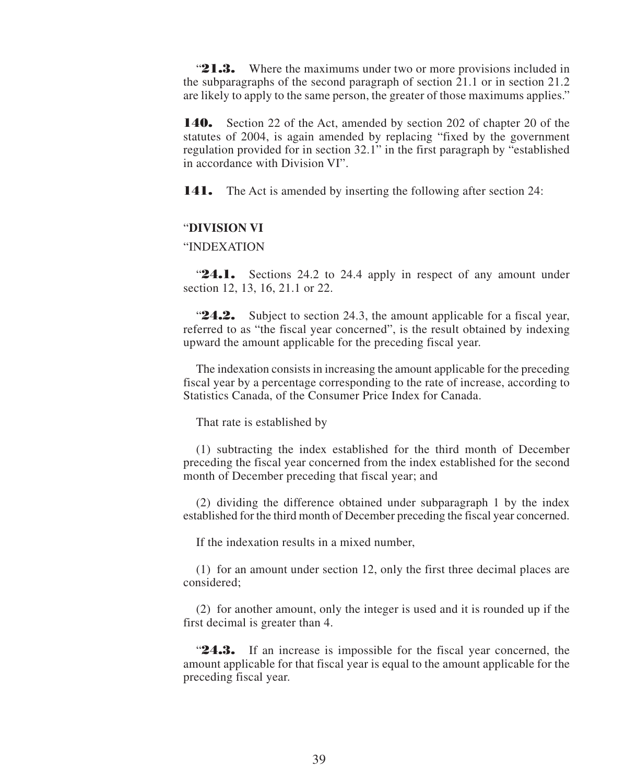"21.3. Where the maximums under two or more provisions included in the subparagraphs of the second paragraph of section 21.1 or in section 21.2 are likely to apply to the same person, the greater of those maximums applies."

**140.** Section 22 of the Act, amended by section 202 of chapter 20 of the statutes of 2004, is again amended by replacing "fixed by the government regulation provided for in section 32.1" in the first paragraph by "established in accordance with Division VI".

**141.** The Act is amended by inserting the following after section 24:

#### "**DIVISION VI**

#### "INDEXATION

"**24.1.** Sections 24.2 to 24.4 apply in respect of any amount under section 12, 13, 16, 21.1 or 22.

"**24.2.** Subject to section 24.3, the amount applicable for a fiscal year, referred to as "the fiscal year concerned", is the result obtained by indexing upward the amount applicable for the preceding fiscal year.

The indexation consists in increasing the amount applicable for the preceding fiscal year by a percentage corresponding to the rate of increase, according to Statistics Canada, of the Consumer Price Index for Canada.

That rate is established by

(1) subtracting the index established for the third month of December preceding the fiscal year concerned from the index established for the second month of December preceding that fiscal year; and

(2) dividing the difference obtained under subparagraph 1 by the index established for the third month of December preceding the fiscal year concerned.

If the indexation results in a mixed number,

(1) for an amount under section 12, only the first three decimal places are considered;

(2) for another amount, only the integer is used and it is rounded up if the first decimal is greater than 4.

"**24.3.** If an increase is impossible for the fiscal year concerned, the amount applicable for that fiscal year is equal to the amount applicable for the preceding fiscal year.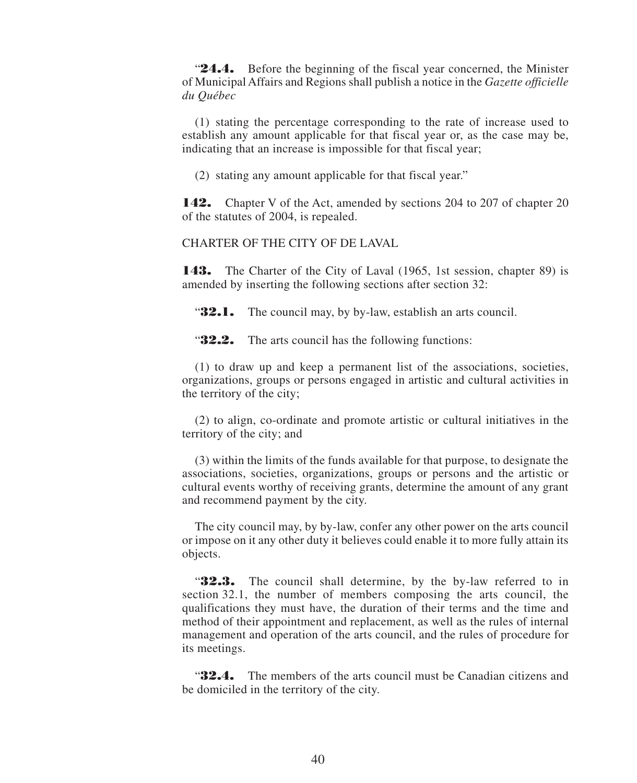**24.4.** Before the beginning of the fiscal year concerned, the Minister of Municipal Affairs and Regions shall publish a notice in the *Gazette officielle du Québec*

(1) stating the percentage corresponding to the rate of increase used to establish any amount applicable for that fiscal year or, as the case may be, indicating that an increase is impossible for that fiscal year;

(2) stating any amount applicable for that fiscal year."

**142.** Chapter V of the Act, amended by sections 204 to 207 of chapter 20 of the statutes of 2004, is repealed.

CHARTER OF THE CITY OF DE LAVAL

**143.** The Charter of the City of Laval (1965, 1st session, chapter 89) is amended by inserting the following sections after section 32:

**32.1.** The council may, by by-law, establish an arts council.

"**32.2.** The arts council has the following functions:

(1) to draw up and keep a permanent list of the associations, societies, organizations, groups or persons engaged in artistic and cultural activities in the territory of the city;

(2) to align, co-ordinate and promote artistic or cultural initiatives in the territory of the city; and

(3) within the limits of the funds available for that purpose, to designate the associations, societies, organizations, groups or persons and the artistic or cultural events worthy of receiving grants, determine the amount of any grant and recommend payment by the city.

The city council may, by by-law, confer any other power on the arts council or impose on it any other duty it believes could enable it to more fully attain its objects.

"**32.3.** The council shall determine, by the by-law referred to in section 32.1, the number of members composing the arts council, the qualifications they must have, the duration of their terms and the time and method of their appointment and replacement, as well as the rules of internal management and operation of the arts council, and the rules of procedure for its meetings.

"**32.4.** The members of the arts council must be Canadian citizens and be domiciled in the territory of the city.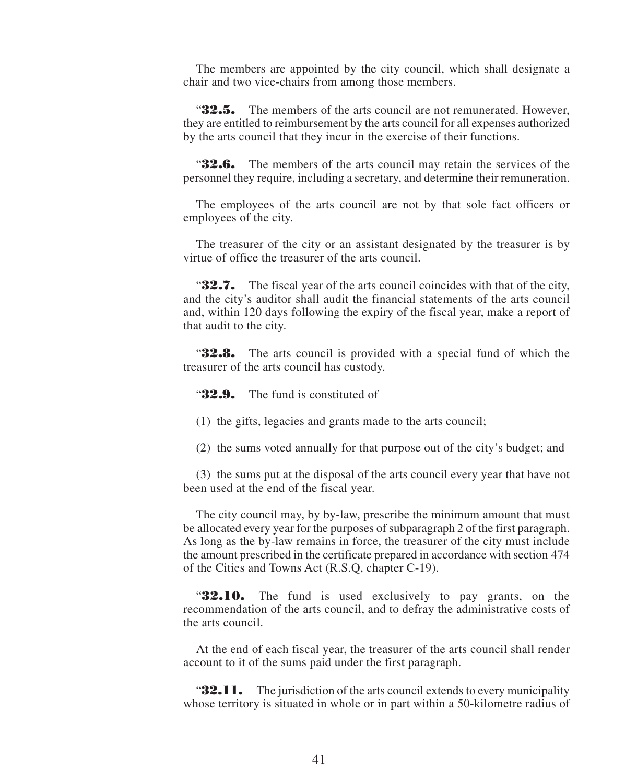The members are appointed by the city council, which shall designate a chair and two vice-chairs from among those members.

"**32.5.** The members of the arts council are not remunerated. However, they are entitled to reimbursement by the arts council for all expenses authorized by the arts council that they incur in the exercise of their functions.

"**32.6.** The members of the arts council may retain the services of the personnel they require, including a secretary, and determine their remuneration.

The employees of the arts council are not by that sole fact officers or employees of the city.

The treasurer of the city or an assistant designated by the treasurer is by virtue of office the treasurer of the arts council.

**32.7.** The fiscal year of the arts council coincides with that of the city, and the city's auditor shall audit the financial statements of the arts council and, within 120 days following the expiry of the fiscal year, make a report of that audit to the city.

"**32.8.** The arts council is provided with a special fund of which the treasurer of the arts council has custody.

**32.9.** The fund is constituted of

(1) the gifts, legacies and grants made to the arts council;

(2) the sums voted annually for that purpose out of the city's budget; and

(3) the sums put at the disposal of the arts council every year that have not been used at the end of the fiscal year.

The city council may, by by-law, prescribe the minimum amount that must be allocated every year for the purposes of subparagraph 2 of the first paragraph. As long as the by-law remains in force, the treasurer of the city must include the amount prescribed in the certificate prepared in accordance with section 474 of the Cities and Towns Act (R.S.Q, chapter C-19).

"**32.10.** The fund is used exclusively to pay grants, on the recommendation of the arts council, and to defray the administrative costs of the arts council.

At the end of each fiscal year, the treasurer of the arts council shall render account to it of the sums paid under the first paragraph.

**32.11.** The jurisdiction of the arts council extends to every municipality whose territory is situated in whole or in part within a 50-kilometre radius of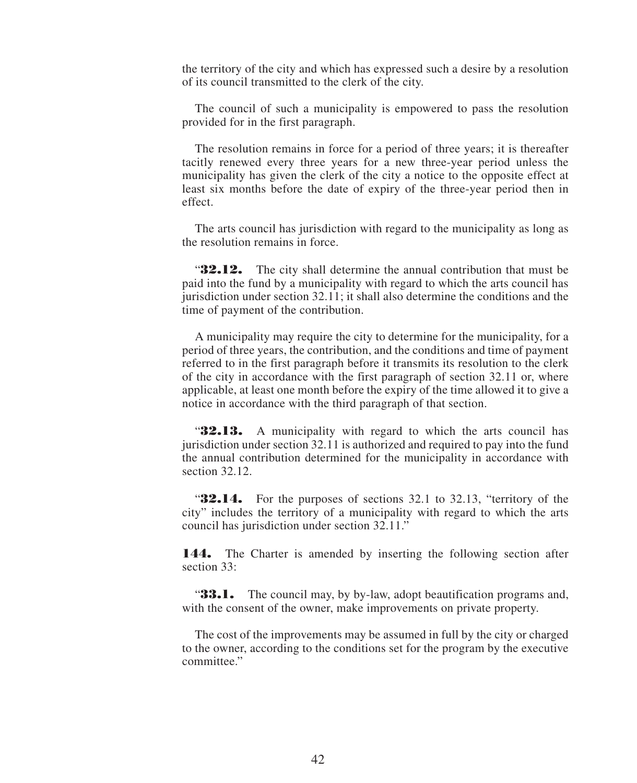the territory of the city and which has expressed such a desire by a resolution of its council transmitted to the clerk of the city.

The council of such a municipality is empowered to pass the resolution provided for in the first paragraph.

The resolution remains in force for a period of three years; it is thereafter tacitly renewed every three years for a new three-year period unless the municipality has given the clerk of the city a notice to the opposite effect at least six months before the date of expiry of the three-year period then in effect.

The arts council has jurisdiction with regard to the municipality as long as the resolution remains in force.

"**32.12.** The city shall determine the annual contribution that must be paid into the fund by a municipality with regard to which the arts council has jurisdiction under section 32.11; it shall also determine the conditions and the time of payment of the contribution.

A municipality may require the city to determine for the municipality, for a period of three years, the contribution, and the conditions and time of payment referred to in the first paragraph before it transmits its resolution to the clerk of the city in accordance with the first paragraph of section 32.11 or, where applicable, at least one month before the expiry of the time allowed it to give a notice in accordance with the third paragraph of that section.

"**32.13.** A municipality with regard to which the arts council has jurisdiction under section 32.11 is authorized and required to pay into the fund the annual contribution determined for the municipality in accordance with section 32.12.

**32.14.** For the purposes of sections 32.1 to 32.13, "territory of the city" includes the territory of a municipality with regard to which the arts council has jurisdiction under section 32.11."

144. The Charter is amended by inserting the following section after section 33:

**33.1.** The council may, by by-law, adopt beautification programs and, with the consent of the owner, make improvements on private property.

The cost of the improvements may be assumed in full by the city or charged to the owner, according to the conditions set for the program by the executive committee."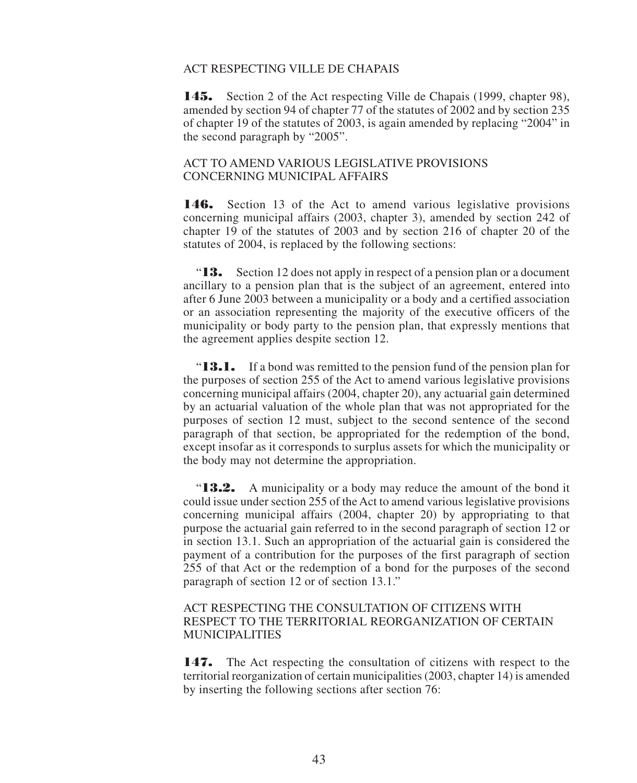#### ACT RESPECTING VILLE DE CHAPAIS

145. Section 2 of the Act respecting Ville de Chapais (1999, chapter 98), amended by section 94 of chapter 77 of the statutes of 2002 and by section 235 of chapter 19 of the statutes of 2003, is again amended by replacing "2004" in the second paragraph by "2005".

#### ACT TO AMEND VARIOUS LEGISLATIVE PROVISIONS CONCERNING MUNICIPAL AFFAIRS

146. Section 13 of the Act to amend various legislative provisions concerning municipal affairs (2003, chapter 3), amended by section 242 of chapter 19 of the statutes of 2003 and by section 216 of chapter 20 of the statutes of 2004, is replaced by the following sections:

"**13.** Section 12 does not apply in respect of a pension plan or a document ancillary to a pension plan that is the subject of an agreement, entered into after 6 June 2003 between a municipality or a body and a certified association or an association representing the majority of the executive officers of the municipality or body party to the pension plan, that expressly mentions that the agreement applies despite section 12.

"**13.1.** If a bond was remitted to the pension fund of the pension plan for the purposes of section 255 of the Act to amend various legislative provisions concerning municipal affairs (2004, chapter 20), any actuarial gain determined by an actuarial valuation of the whole plan that was not appropriated for the purposes of section 12 must, subject to the second sentence of the second paragraph of that section, be appropriated for the redemption of the bond, except insofar as it corresponds to surplus assets for which the municipality or the body may not determine the appropriation.

"**13.2.** A municipality or a body may reduce the amount of the bond it could issue under section 255 of the Act to amend various legislative provisions concerning municipal affairs (2004, chapter 20) by appropriating to that purpose the actuarial gain referred to in the second paragraph of section 12 or in section 13.1. Such an appropriation of the actuarial gain is considered the payment of a contribution for the purposes of the first paragraph of section 255 of that Act or the redemption of a bond for the purposes of the second paragraph of section 12 or of section 13.1."

#### ACT RESPECTING THE CONSULTATION OF CITIZENS WITH RESPECT TO THE TERRITORIAL REORGANIZATION OF CERTAIN MUNICIPALITIES

147. The Act respecting the consultation of citizens with respect to the territorial reorganization of certain municipalities (2003, chapter 14) is amended by inserting the following sections after section 76: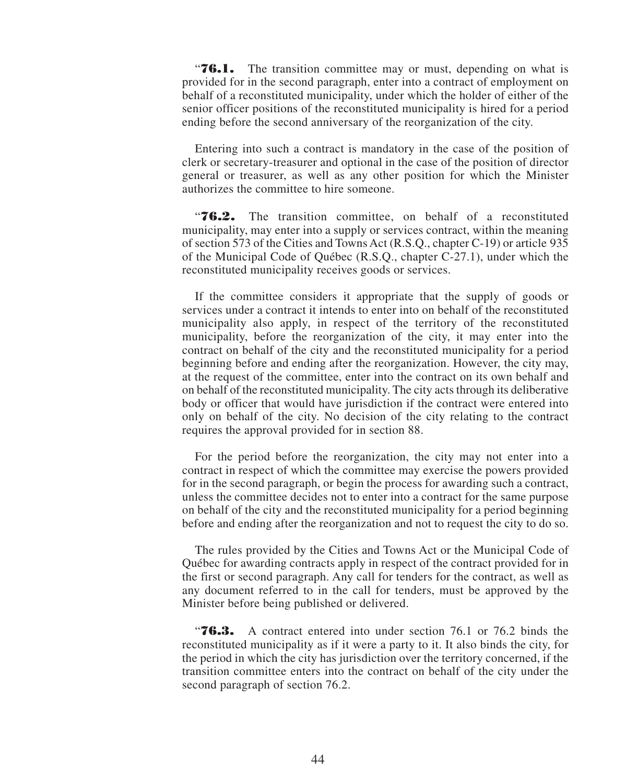**76.1.** The transition committee may or must, depending on what is provided for in the second paragraph, enter into a contract of employment on behalf of a reconstituted municipality, under which the holder of either of the senior officer positions of the reconstituted municipality is hired for a period ending before the second anniversary of the reorganization of the city.

Entering into such a contract is mandatory in the case of the position of clerk or secretary-treasurer and optional in the case of the position of director general or treasurer, as well as any other position for which the Minister authorizes the committee to hire someone.

"**76.2.** The transition committee, on behalf of a reconstituted municipality, may enter into a supply or services contract, within the meaning of section 573 of the Cities and Towns Act (R.S.Q., chapter C-19) or article 935 of the Municipal Code of Québec (R.S.Q., chapter C-27.1), under which the reconstituted municipality receives goods or services.

If the committee considers it appropriate that the supply of goods or services under a contract it intends to enter into on behalf of the reconstituted municipality also apply, in respect of the territory of the reconstituted municipality, before the reorganization of the city, it may enter into the contract on behalf of the city and the reconstituted municipality for a period beginning before and ending after the reorganization. However, the city may, at the request of the committee, enter into the contract on its own behalf and on behalf of the reconstituted municipality. The city acts through its deliberative body or officer that would have jurisdiction if the contract were entered into only on behalf of the city. No decision of the city relating to the contract requires the approval provided for in section 88.

For the period before the reorganization, the city may not enter into a contract in respect of which the committee may exercise the powers provided for in the second paragraph, or begin the process for awarding such a contract, unless the committee decides not to enter into a contract for the same purpose on behalf of the city and the reconstituted municipality for a period beginning before and ending after the reorganization and not to request the city to do so.

The rules provided by the Cities and Towns Act or the Municipal Code of Québec for awarding contracts apply in respect of the contract provided for in the first or second paragraph. Any call for tenders for the contract, as well as any document referred to in the call for tenders, must be approved by the Minister before being published or delivered.

"**76.3.** A contract entered into under section 76.1 or 76.2 binds the reconstituted municipality as if it were a party to it. It also binds the city, for the period in which the city has jurisdiction over the territory concerned, if the transition committee enters into the contract on behalf of the city under the second paragraph of section 76.2.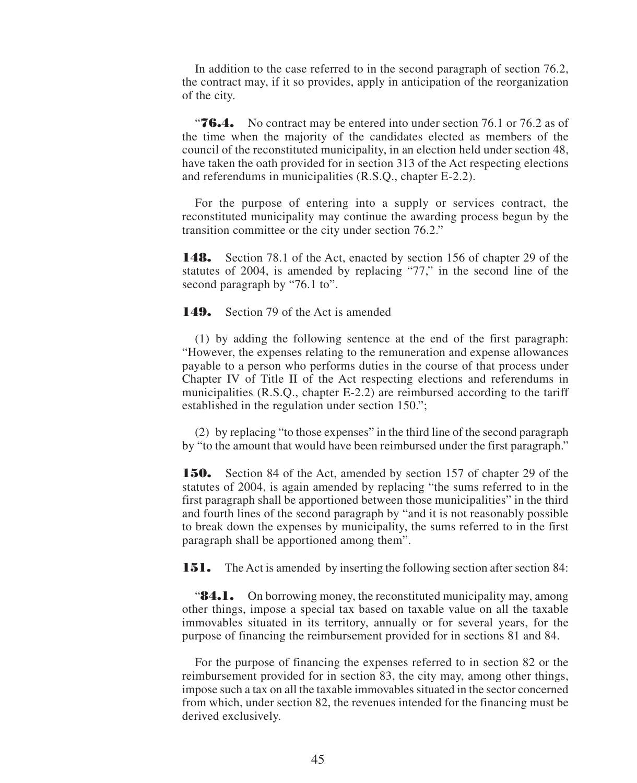In addition to the case referred to in the second paragraph of section 76.2, the contract may, if it so provides, apply in anticipation of the reorganization of the city.

"**76.4.** No contract may be entered into under section 76.1 or 76.2 as of the time when the majority of the candidates elected as members of the council of the reconstituted municipality, in an election held under section 48, have taken the oath provided for in section 313 of the Act respecting elections and referendums in municipalities (R.S.Q., chapter E-2.2).

For the purpose of entering into a supply or services contract, the reconstituted municipality may continue the awarding process begun by the transition committee or the city under section 76.2."

**148.** Section 78.1 of the Act, enacted by section 156 of chapter 29 of the statutes of 2004, is amended by replacing "77," in the second line of the second paragraph by "76.1 to".

**149.** Section 79 of the Act is amended

(1) by adding the following sentence at the end of the first paragraph: "However, the expenses relating to the remuneration and expense allowances payable to a person who performs duties in the course of that process under Chapter IV of Title II of the Act respecting elections and referendums in municipalities (R.S.Q., chapter E-2.2) are reimbursed according to the tariff established in the regulation under section 150.";

(2) by replacing "to those expenses" in the third line of the second paragraph by "to the amount that would have been reimbursed under the first paragraph."

**150.** Section 84 of the Act, amended by section 157 of chapter 29 of the statutes of 2004, is again amended by replacing "the sums referred to in the first paragraph shall be apportioned between those municipalities" in the third and fourth lines of the second paragraph by "and it is not reasonably possible to break down the expenses by municipality, the sums referred to in the first paragraph shall be apportioned among them".

**151.** The Act is amended by inserting the following section after section 84:

**84.1.** On borrowing money, the reconstituted municipality may, among other things, impose a special tax based on taxable value on all the taxable immovables situated in its territory, annually or for several years, for the purpose of financing the reimbursement provided for in sections 81 and 84.

For the purpose of financing the expenses referred to in section 82 or the reimbursement provided for in section 83, the city may, among other things, impose such a tax on all the taxable immovables situated in the sector concerned from which, under section 82, the revenues intended for the financing must be derived exclusively.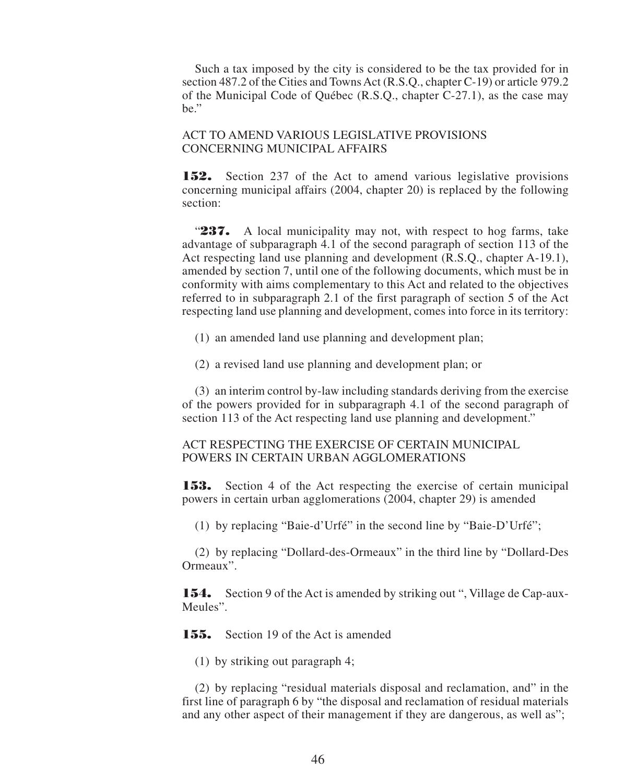Such a tax imposed by the city is considered to be the tax provided for in section 487.2 of the Cities and Towns Act (R.S.Q., chapter C-19) or article 979.2 of the Municipal Code of Québec (R.S.Q., chapter C-27.1), as the case may be."

#### ACT TO AMEND VARIOUS LEGISLATIVE PROVISIONS CONCERNING MUNICIPAL AFFAIRS

**152.** Section 237 of the Act to amend various legislative provisions concerning municipal affairs (2004, chapter 20) is replaced by the following section:

"**237.** A local municipality may not, with respect to hog farms, take advantage of subparagraph 4.1 of the second paragraph of section 113 of the Act respecting land use planning and development (R.S.Q., chapter A-19.1), amended by section 7, until one of the following documents, which must be in conformity with aims complementary to this Act and related to the objectives referred to in subparagraph 2.1 of the first paragraph of section 5 of the Act respecting land use planning and development, comes into force in its territory:

(1) an amended land use planning and development plan;

(2) a revised land use planning and development plan; or

(3) an interim control by-law including standards deriving from the exercise of the powers provided for in subparagraph 4.1 of the second paragraph of section 113 of the Act respecting land use planning and development."

#### ACT RESPECTING THE EXERCISE OF CERTAIN MUNICIPAL POWERS IN CERTAIN URBAN AGGLOMERATIONS

**153.** Section 4 of the Act respecting the exercise of certain municipal powers in certain urban agglomerations (2004, chapter 29) is amended

(1) by replacing "Baie-d'Urfé" in the second line by "Baie-D'Urfé";

(2) by replacing "Dollard-des-Ormeaux" in the third line by "Dollard-Des Ormeaux".

**154.** Section 9 of the Act is amended by striking out ", Village de Cap-aux-Meules".

**155.** Section 19 of the Act is amended

(1) by striking out paragraph 4;

(2) by replacing "residual materials disposal and reclamation, and" in the first line of paragraph 6 by "the disposal and reclamation of residual materials and any other aspect of their management if they are dangerous, as well as";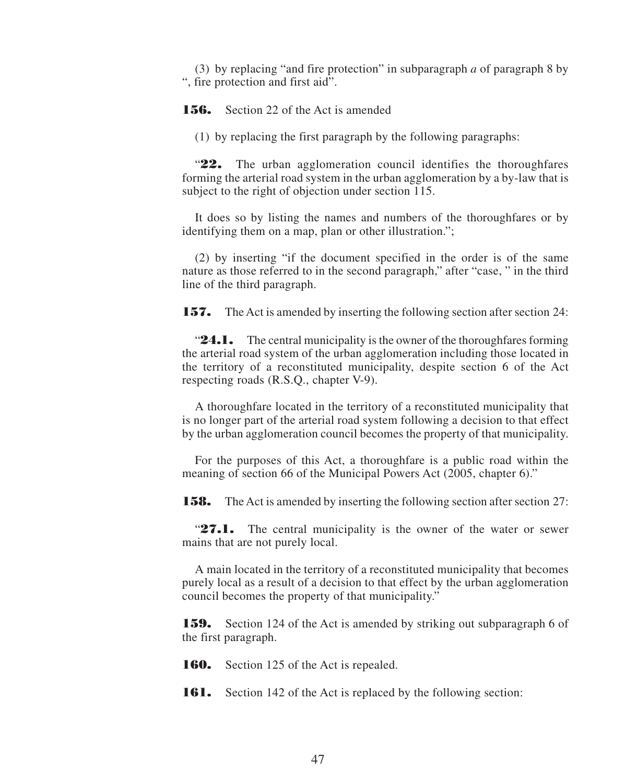(3) by replacing "and fire protection" in subparagraph *a* of paragraph 8 by ", fire protection and first aid".

**156.** Section 22 of the Act is amended

(1) by replacing the first paragraph by the following paragraphs:

"**22.** The urban agglomeration council identifies the thoroughfares forming the arterial road system in the urban agglomeration by a by-law that is subject to the right of objection under section 115.

It does so by listing the names and numbers of the thoroughfares or by identifying them on a map, plan or other illustration.";

(2) by inserting "if the document specified in the order is of the same nature as those referred to in the second paragraph," after "case, " in the third line of the third paragraph.

**157.** The Act is amended by inserting the following section after section 24:

**24.1.** The central municipality is the owner of the thoroughfares forming the arterial road system of the urban agglomeration including those located in the territory of a reconstituted municipality, despite section 6 of the Act respecting roads (R.S.Q., chapter V-9).

A thoroughfare located in the territory of a reconstituted municipality that is no longer part of the arterial road system following a decision to that effect by the urban agglomeration council becomes the property of that municipality.

For the purposes of this Act, a thoroughfare is a public road within the meaning of section 66 of the Municipal Powers Act (2005, chapter 6)."

**158.** The Act is amended by inserting the following section after section 27:

**27.1.** The central municipality is the owner of the water or sewer mains that are not purely local.

A main located in the territory of a reconstituted municipality that becomes purely local as a result of a decision to that effect by the urban agglomeration council becomes the property of that municipality."

**159.** Section 124 of the Act is amended by striking out subparagraph 6 of the first paragraph.

**160.** Section 125 of the Act is repealed.

**161.** Section 142 of the Act is replaced by the following section: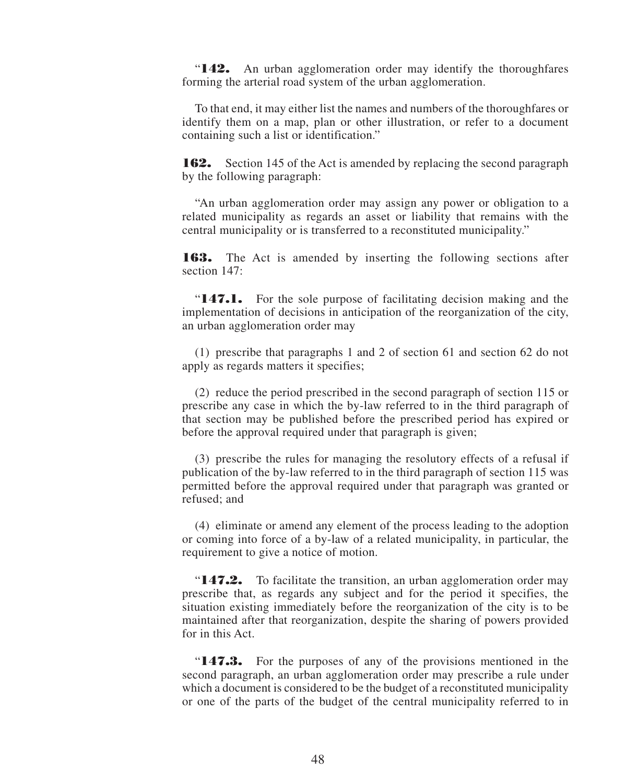"**142.** An urban agglomeration order may identify the thoroughfares forming the arterial road system of the urban agglomeration.

To that end, it may either list the names and numbers of the thoroughfares or identify them on a map, plan or other illustration, or refer to a document containing such a list or identification."

**162.** Section 145 of the Act is amended by replacing the second paragraph by the following paragraph:

"An urban agglomeration order may assign any power or obligation to a related municipality as regards an asset or liability that remains with the central municipality or is transferred to a reconstituted municipality."

**163.** The Act is amended by inserting the following sections after section 147:

"**147.1.** For the sole purpose of facilitating decision making and the implementation of decisions in anticipation of the reorganization of the city, an urban agglomeration order may

(1) prescribe that paragraphs 1 and 2 of section 61 and section 62 do not apply as regards matters it specifies;

(2) reduce the period prescribed in the second paragraph of section 115 or prescribe any case in which the by-law referred to in the third paragraph of that section may be published before the prescribed period has expired or before the approval required under that paragraph is given;

(3) prescribe the rules for managing the resolutory effects of a refusal if publication of the by-law referred to in the third paragraph of section 115 was permitted before the approval required under that paragraph was granted or refused; and

(4) eliminate or amend any element of the process leading to the adoption or coming into force of a by-law of a related municipality, in particular, the requirement to give a notice of motion.

"**147.2.** To facilitate the transition, an urban agglomeration order may prescribe that, as regards any subject and for the period it specifies, the situation existing immediately before the reorganization of the city is to be maintained after that reorganization, despite the sharing of powers provided for in this Act.

"**147.3.** For the purposes of any of the provisions mentioned in the second paragraph, an urban agglomeration order may prescribe a rule under which a document is considered to be the budget of a reconstituted municipality or one of the parts of the budget of the central municipality referred to in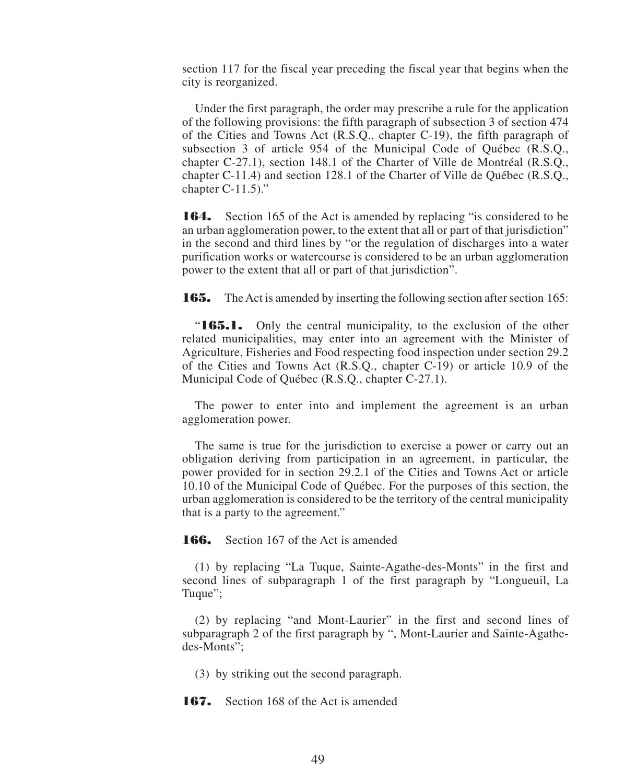section 117 for the fiscal year preceding the fiscal year that begins when the city is reorganized.

Under the first paragraph, the order may prescribe a rule for the application of the following provisions: the fifth paragraph of subsection 3 of section 474 of the Cities and Towns Act (R.S.Q., chapter C-19), the fifth paragraph of subsection 3 of article 954 of the Municipal Code of Québec (R.S.Q., chapter C-27.1), section 148.1 of the Charter of Ville de Montréal (R.S.Q., chapter C-11.4) and section 128.1 of the Charter of Ville de Québec (R.S.Q., chapter  $C-11.5$ )."

**164.** Section 165 of the Act is amended by replacing "is considered to be an urban agglomeration power, to the extent that all or part of that jurisdiction" in the second and third lines by "or the regulation of discharges into a water purification works or watercourse is considered to be an urban agglomeration power to the extent that all or part of that jurisdiction".

**165.** The Act is amended by inserting the following section after section 165:

"**165.1.** Only the central municipality, to the exclusion of the other related municipalities, may enter into an agreement with the Minister of Agriculture, Fisheries and Food respecting food inspection under section 29.2 of the Cities and Towns Act (R.S.Q., chapter C-19) or article 10.9 of the Municipal Code of Québec (R.S.Q., chapter C-27.1).

The power to enter into and implement the agreement is an urban agglomeration power.

The same is true for the jurisdiction to exercise a power or carry out an obligation deriving from participation in an agreement, in particular, the power provided for in section 29.2.1 of the Cities and Towns Act or article 10.10 of the Municipal Code of Québec. For the purposes of this section, the urban agglomeration is considered to be the territory of the central municipality that is a party to the agreement."

**166.** Section 167 of the Act is amended

(1) by replacing "La Tuque, Sainte-Agathe-des-Monts" in the first and second lines of subparagraph 1 of the first paragraph by "Longueuil, La Tuque";

(2) by replacing "and Mont-Laurier" in the first and second lines of subparagraph 2 of the first paragraph by ", Mont-Laurier and Sainte-Agathedes-Monts";

(3) by striking out the second paragraph.

**167.** Section 168 of the Act is amended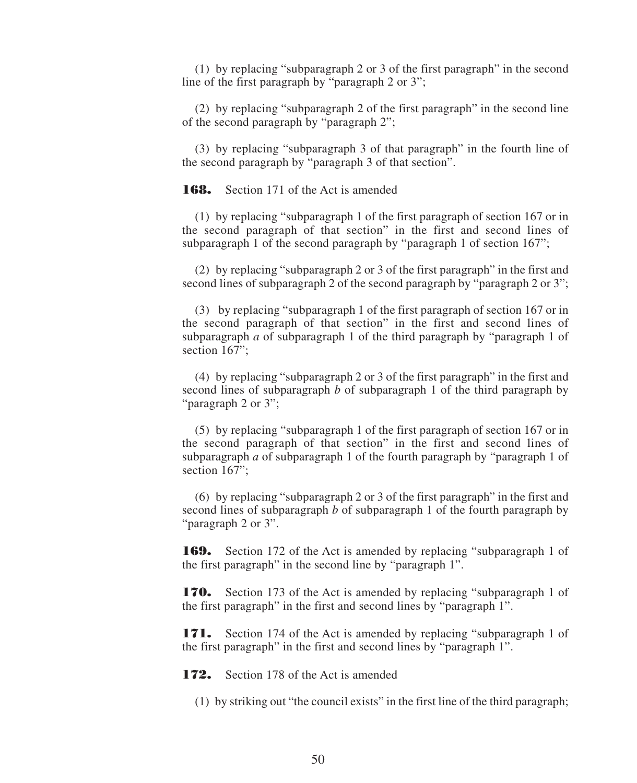(1) by replacing "subparagraph 2 or 3 of the first paragraph" in the second line of the first paragraph by "paragraph 2 or 3";

(2) by replacing "subparagraph 2 of the first paragraph" in the second line of the second paragraph by "paragraph 2";

(3) by replacing "subparagraph 3 of that paragraph" in the fourth line of the second paragraph by "paragraph 3 of that section".

**168.** Section 171 of the Act is amended

(1) by replacing "subparagraph 1 of the first paragraph of section 167 or in the second paragraph of that section" in the first and second lines of subparagraph 1 of the second paragraph by "paragraph 1 of section 167";

(2) by replacing "subparagraph 2 or 3 of the first paragraph" in the first and second lines of subparagraph 2 of the second paragraph by "paragraph 2 or 3";

(3) by replacing "subparagraph 1 of the first paragraph of section 167 or in the second paragraph of that section" in the first and second lines of subparagraph *a* of subparagraph 1 of the third paragraph by "paragraph 1 of section 167":

(4) by replacing "subparagraph 2 or 3 of the first paragraph" in the first and second lines of subparagraph *b* of subparagraph 1 of the third paragraph by "paragraph 2 or 3";

(5) by replacing "subparagraph 1 of the first paragraph of section 167 or in the second paragraph of that section" in the first and second lines of subparagraph *a* of subparagraph 1 of the fourth paragraph by "paragraph 1 of section 167";

(6) by replacing "subparagraph 2 or 3 of the first paragraph" in the first and second lines of subparagraph *b* of subparagraph 1 of the fourth paragraph by "paragraph 2 or 3".

**169.** Section 172 of the Act is amended by replacing "subparagraph 1 of the first paragraph" in the second line by "paragraph 1".

**170.** Section 173 of the Act is amended by replacing "subparagraph 1 of the first paragraph" in the first and second lines by "paragraph 1".

**171.** Section 174 of the Act is amended by replacing "subparagraph 1 of the first paragraph" in the first and second lines by "paragraph 1".

**172.** Section 178 of the Act is amended

(1) by striking out "the council exists" in the first line of the third paragraph;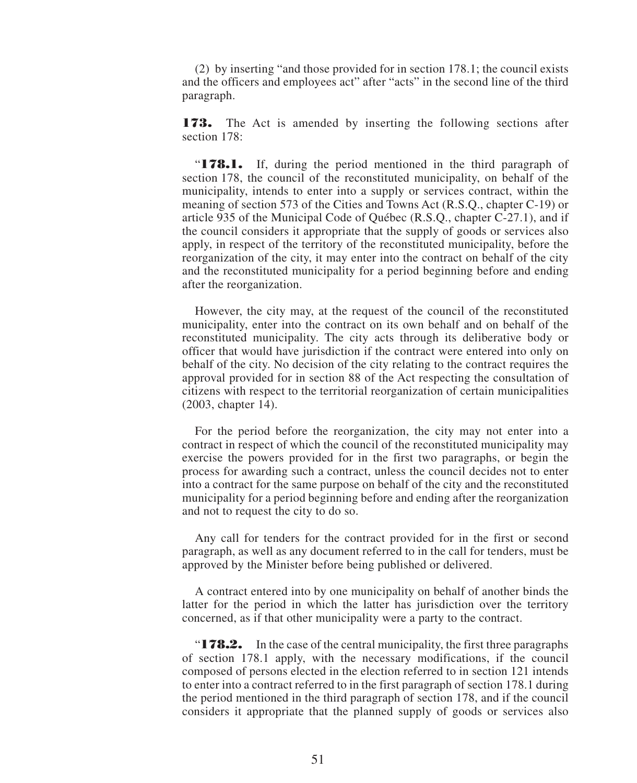(2) by inserting "and those provided for in section 178.1; the council exists and the officers and employees act" after "acts" in the second line of the third paragraph.

**173.** The Act is amended by inserting the following sections after section 178:

"**178.1.** If, during the period mentioned in the third paragraph of section 178, the council of the reconstituted municipality, on behalf of the municipality, intends to enter into a supply or services contract, within the meaning of section 573 of the Cities and Towns Act (R.S.Q., chapter C-19) or article 935 of the Municipal Code of Québec (R.S.Q., chapter C-27.1), and if the council considers it appropriate that the supply of goods or services also apply, in respect of the territory of the reconstituted municipality, before the reorganization of the city, it may enter into the contract on behalf of the city and the reconstituted municipality for a period beginning before and ending after the reorganization.

However, the city may, at the request of the council of the reconstituted municipality, enter into the contract on its own behalf and on behalf of the reconstituted municipality. The city acts through its deliberative body or officer that would have jurisdiction if the contract were entered into only on behalf of the city. No decision of the city relating to the contract requires the approval provided for in section 88 of the Act respecting the consultation of citizens with respect to the territorial reorganization of certain municipalities (2003, chapter 14).

For the period before the reorganization, the city may not enter into a contract in respect of which the council of the reconstituted municipality may exercise the powers provided for in the first two paragraphs, or begin the process for awarding such a contract, unless the council decides not to enter into a contract for the same purpose on behalf of the city and the reconstituted municipality for a period beginning before and ending after the reorganization and not to request the city to do so.

Any call for tenders for the contract provided for in the first or second paragraph, as well as any document referred to in the call for tenders, must be approved by the Minister before being published or delivered.

A contract entered into by one municipality on behalf of another binds the latter for the period in which the latter has jurisdiction over the territory concerned, as if that other municipality were a party to the contract.

"**178.2.** In the case of the central municipality, the first three paragraphs of section 178.1 apply, with the necessary modifications, if the council composed of persons elected in the election referred to in section 121 intends to enter into a contract referred to in the first paragraph of section 178.1 during the period mentioned in the third paragraph of section 178, and if the council considers it appropriate that the planned supply of goods or services also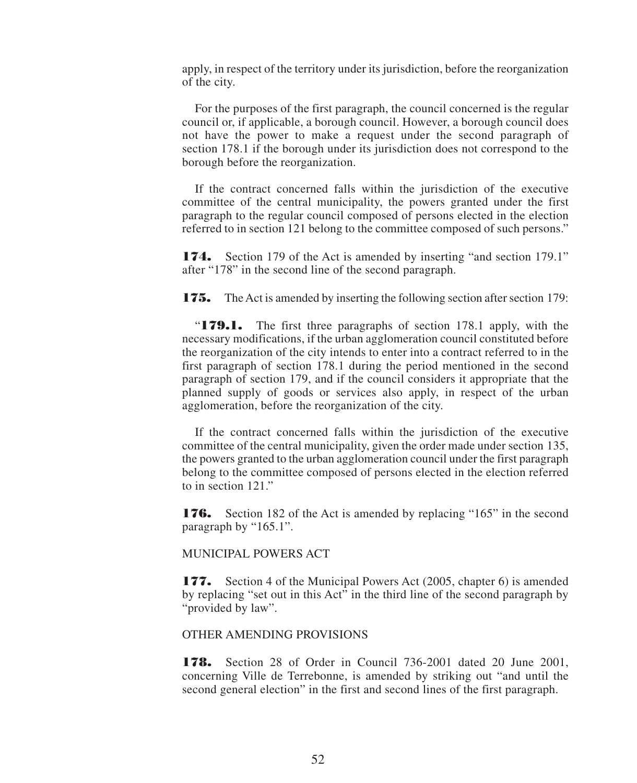apply, in respect of the territory under its jurisdiction, before the reorganization of the city.

For the purposes of the first paragraph, the council concerned is the regular council or, if applicable, a borough council. However, a borough council does not have the power to make a request under the second paragraph of section 178.1 if the borough under its jurisdiction does not correspond to the borough before the reorganization.

If the contract concerned falls within the jurisdiction of the executive committee of the central municipality, the powers granted under the first paragraph to the regular council composed of persons elected in the election referred to in section 121 belong to the committee composed of such persons."

**174.** Section 179 of the Act is amended by inserting "and section 179.1" after "178" in the second line of the second paragraph.

**175.** The Act is amended by inserting the following section after section 179:

"**179.1.** The first three paragraphs of section 178.1 apply, with the necessary modifications, if the urban agglomeration council constituted before the reorganization of the city intends to enter into a contract referred to in the first paragraph of section 178.1 during the period mentioned in the second paragraph of section 179, and if the council considers it appropriate that the planned supply of goods or services also apply, in respect of the urban agglomeration, before the reorganization of the city.

If the contract concerned falls within the jurisdiction of the executive committee of the central municipality, given the order made under section 135, the powers granted to the urban agglomeration council under the first paragraph belong to the committee composed of persons elected in the election referred to in section 121."

**176.** Section 182 of the Act is amended by replacing "165" in the second paragraph by "165.1".

MUNICIPAL POWERS ACT

**177.** Section 4 of the Municipal Powers Act (2005, chapter 6) is amended by replacing "set out in this Act" in the third line of the second paragraph by "provided by law".

#### OTHER AMENDING PROVISIONS

**178.** Section 28 of Order in Council 736-2001 dated 20 June 2001, concerning Ville de Terrebonne, is amended by striking out "and until the second general election" in the first and second lines of the first paragraph.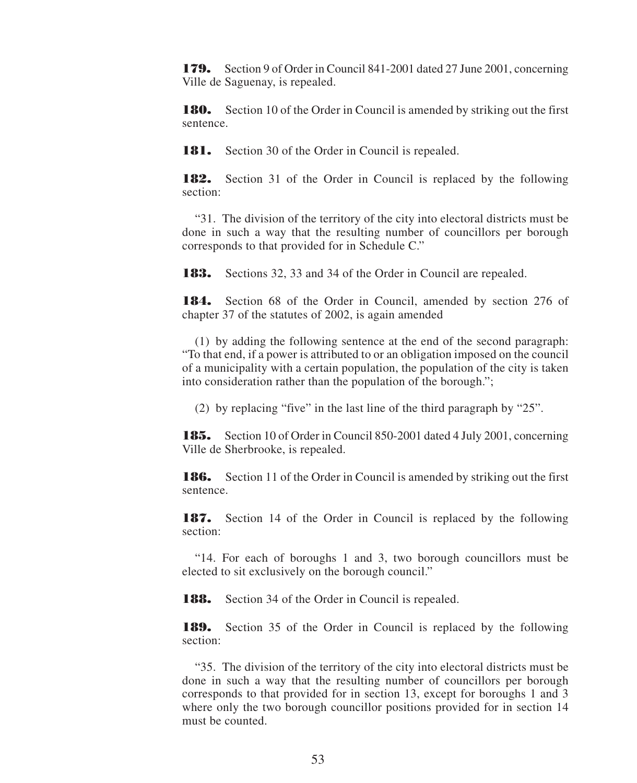**179.** Section 9 of Order in Council 841-2001 dated 27 June 2001, concerning Ville de Saguenay, is repealed.

**180.** Section 10 of the Order in Council is amended by striking out the first sentence.

**181.** Section 30 of the Order in Council is repealed.

**182.** Section 31 of the Order in Council is replaced by the following section:

"31. The division of the territory of the city into electoral districts must be done in such a way that the resulting number of councillors per borough corresponds to that provided for in Schedule C."

**183.** Sections 32, 33 and 34 of the Order in Council are repealed.

**184.** Section 68 of the Order in Council, amended by section 276 of chapter 37 of the statutes of 2002, is again amended

(1) by adding the following sentence at the end of the second paragraph: "To that end, if a power is attributed to or an obligation imposed on the council of a municipality with a certain population, the population of the city is taken into consideration rather than the population of the borough.";

(2) by replacing "five" in the last line of the third paragraph by "25".

**185.** Section 10 of Order in Council 850-2001 dated 4 July 2001, concerning Ville de Sherbrooke, is repealed.

**186.** Section 11 of the Order in Council is amended by striking out the first sentence.

**187.** Section 14 of the Order in Council is replaced by the following section:

"14. For each of boroughs 1 and 3, two borough councillors must be elected to sit exclusively on the borough council."

**188.** Section 34 of the Order in Council is repealed.

**189.** Section 35 of the Order in Council is replaced by the following section:

"35. The division of the territory of the city into electoral districts must be done in such a way that the resulting number of councillors per borough corresponds to that provided for in section 13, except for boroughs 1 and 3 where only the two borough councillor positions provided for in section 14 must be counted.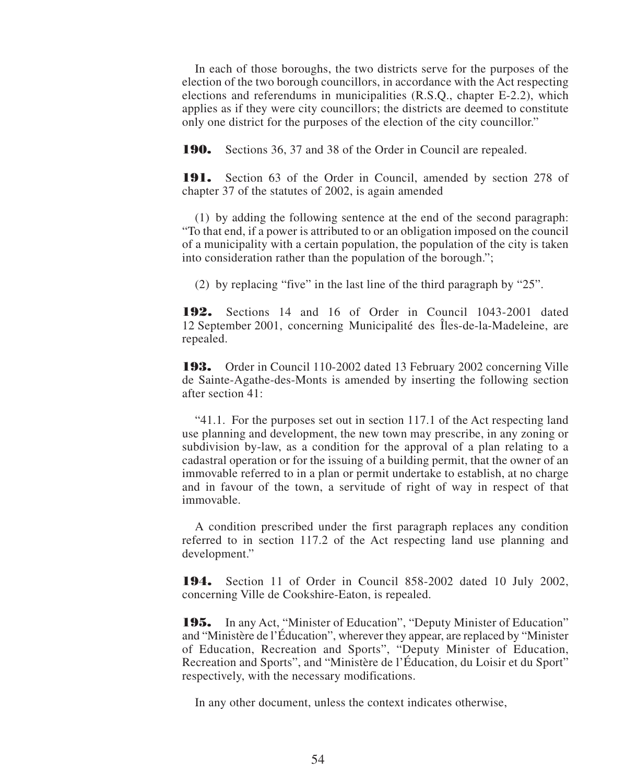In each of those boroughs, the two districts serve for the purposes of the election of the two borough councillors, in accordance with the Act respecting elections and referendums in municipalities (R.S.Q., chapter E-2.2), which applies as if they were city councillors; the districts are deemed to constitute only one district for the purposes of the election of the city councillor."

**190.** Sections 36, 37 and 38 of the Order in Council are repealed.

**191.** Section 63 of the Order in Council, amended by section 278 of chapter 37 of the statutes of 2002, is again amended

(1) by adding the following sentence at the end of the second paragraph: "To that end, if a power is attributed to or an obligation imposed on the council of a municipality with a certain population, the population of the city is taken into consideration rather than the population of the borough.";

(2) by replacing "five" in the last line of the third paragraph by "25".

**192.** Sections 14 and 16 of Order in Council 1043-2001 dated 12 September 2001, concerning Municipalité des Îles-de-la-Madeleine, are repealed.

**193.** Order in Council 110-2002 dated 13 February 2002 concerning Ville de Sainte-Agathe-des-Monts is amended by inserting the following section after section 41:

"41.1. For the purposes set out in section 117.1 of the Act respecting land use planning and development, the new town may prescribe, in any zoning or subdivision by-law, as a condition for the approval of a plan relating to a cadastral operation or for the issuing of a building permit, that the owner of an immovable referred to in a plan or permit undertake to establish, at no charge and in favour of the town, a servitude of right of way in respect of that immovable.

A condition prescribed under the first paragraph replaces any condition referred to in section 117.2 of the Act respecting land use planning and development."

**194.** Section 11 of Order in Council 858-2002 dated 10 July 2002, concerning Ville de Cookshire-Eaton, is repealed.

**195.** In any Act, "Minister of Education", "Deputy Minister of Education" and "Ministère de l'Éducation", wherever they appear, are replaced by "Minister of Education, Recreation and Sports", "Deputy Minister of Education, Recreation and Sports", and "Ministère de l'Éducation, du Loisir et du Sport" respectively, with the necessary modifications.

In any other document, unless the context indicates otherwise,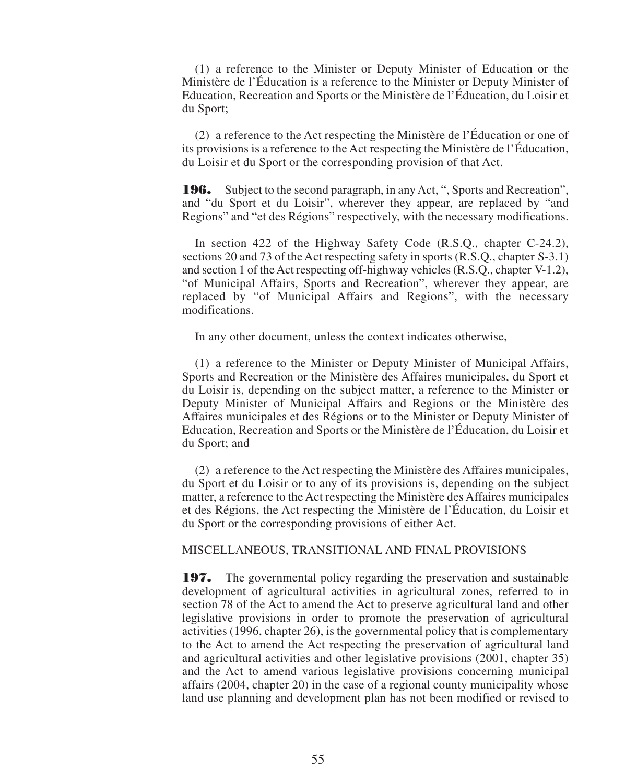(1) a reference to the Minister or Deputy Minister of Education or the Ministère de l'Éducation is a reference to the Minister or Deputy Minister of Education, Recreation and Sports or the Ministère de l'Éducation, du Loisir et du Sport;

(2) a reference to the Act respecting the Ministère de l'Éducation or one of its provisions is a reference to the Act respecting the Ministère de l'Éducation, du Loisir et du Sport or the corresponding provision of that Act.

**196.** Subject to the second paragraph, in any Act, ", Sports and Recreation", and "du Sport et du Loisir", wherever they appear, are replaced by "and Regions" and "et des Régions" respectively, with the necessary modifications.

In section 422 of the Highway Safety Code (R.S.Q., chapter C-24.2), sections 20 and 73 of the Act respecting safety in sports (R.S.Q., chapter S-3.1) and section 1 of the Act respecting off-highway vehicles (R.S.Q., chapter V-1.2), "of Municipal Affairs, Sports and Recreation", wherever they appear, are replaced by "of Municipal Affairs and Regions", with the necessary modifications.

In any other document, unless the context indicates otherwise,

(1) a reference to the Minister or Deputy Minister of Municipal Affairs, Sports and Recreation or the Ministère des Affaires municipales, du Sport et du Loisir is, depending on the subject matter, a reference to the Minister or Deputy Minister of Municipal Affairs and Regions or the Ministère des Affaires municipales et des Régions or to the Minister or Deputy Minister of Education, Recreation and Sports or the Ministère de l'Éducation, du Loisir et du Sport; and

(2) a reference to the Act respecting the Ministère des Affaires municipales, du Sport et du Loisir or to any of its provisions is, depending on the subject matter, a reference to the Act respecting the Ministère des Affaires municipales et des Régions, the Act respecting the Ministère de l'Éducation, du Loisir et du Sport or the corresponding provisions of either Act.

#### MISCELLANEOUS, TRANSITIONAL AND FINAL PROVISIONS

**197.** The governmental policy regarding the preservation and sustainable development of agricultural activities in agricultural zones, referred to in section 78 of the Act to amend the Act to preserve agricultural land and other legislative provisions in order to promote the preservation of agricultural activities (1996, chapter 26), is the governmental policy that is complementary to the Act to amend the Act respecting the preservation of agricultural land and agricultural activities and other legislative provisions (2001, chapter 35) and the Act to amend various legislative provisions concerning municipal affairs (2004, chapter 20) in the case of a regional county municipality whose land use planning and development plan has not been modified or revised to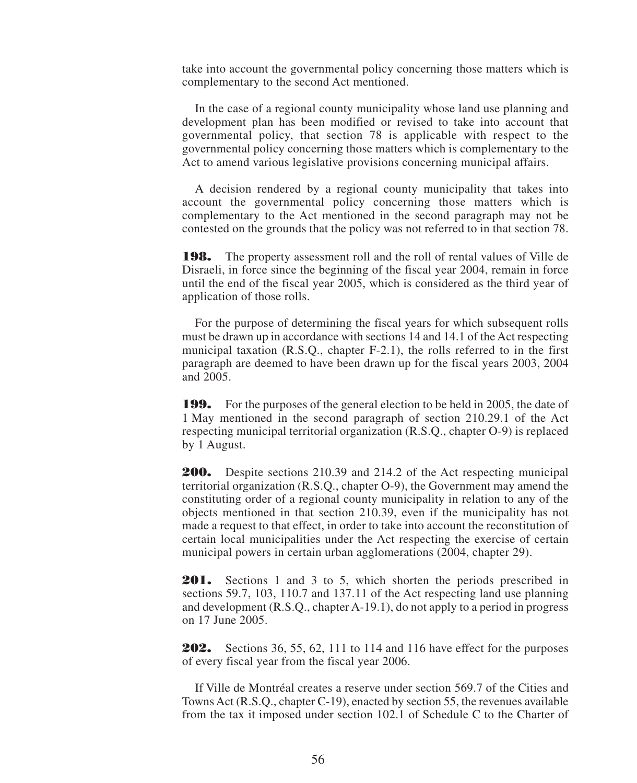take into account the governmental policy concerning those matters which is complementary to the second Act mentioned.

In the case of a regional county municipality whose land use planning and development plan has been modified or revised to take into account that governmental policy, that section 78 is applicable with respect to the governmental policy concerning those matters which is complementary to the Act to amend various legislative provisions concerning municipal affairs.

A decision rendered by a regional county municipality that takes into account the governmental policy concerning those matters which is complementary to the Act mentioned in the second paragraph may not be contested on the grounds that the policy was not referred to in that section 78.

**198.** The property assessment roll and the roll of rental values of Ville de Disraeli, in force since the beginning of the fiscal year 2004, remain in force until the end of the fiscal year 2005, which is considered as the third year of application of those rolls.

For the purpose of determining the fiscal years for which subsequent rolls must be drawn up in accordance with sections 14 and 14.1 of the Act respecting municipal taxation (R.S.Q., chapter F-2.1), the rolls referred to in the first paragraph are deemed to have been drawn up for the fiscal years 2003, 2004 and 2005.

**199.** For the purposes of the general election to be held in 2005, the date of 1 May mentioned in the second paragraph of section 210.29.1 of the Act respecting municipal territorial organization (R.S.Q., chapter O-9) is replaced by 1 August.

**200.** Despite sections 210.39 and 214.2 of the Act respecting municipal territorial organization (R.S.Q., chapter O-9), the Government may amend the constituting order of a regional county municipality in relation to any of the objects mentioned in that section 210.39, even if the municipality has not made a request to that effect, in order to take into account the reconstitution of certain local municipalities under the Act respecting the exercise of certain municipal powers in certain urban agglomerations (2004, chapter 29).

**201.** Sections 1 and 3 to 5, which shorten the periods prescribed in sections 59.7, 103, 110.7 and 137.11 of the Act respecting land use planning and development (R.S.Q., chapter A-19.1), do not apply to a period in progress on 17 June 2005.

**202.** Sections 36, 55, 62, 111 to 114 and 116 have effect for the purposes of every fiscal year from the fiscal year 2006.

If Ville de Montréal creates a reserve under section 569.7 of the Cities and Towns Act (R.S.Q., chapter C-19), enacted by section 55, the revenues available from the tax it imposed under section 102.1 of Schedule C to the Charter of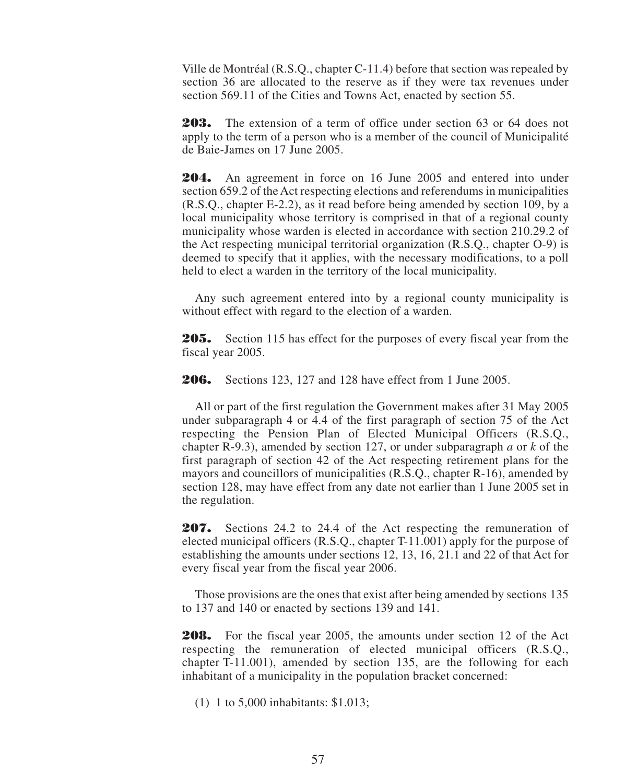Ville de Montréal (R.S.Q., chapter C-11.4) before that section was repealed by section 36 are allocated to the reserve as if they were tax revenues under section 569.11 of the Cities and Towns Act, enacted by section 55.

**203.** The extension of a term of office under section 63 or 64 does not apply to the term of a person who is a member of the council of Municipalité de Baie-James on 17 June 2005.

**204.** An agreement in force on 16 June 2005 and entered into under section 659.2 of the Act respecting elections and referendums in municipalities (R.S.Q., chapter E-2.2), as it read before being amended by section 109, by a local municipality whose territory is comprised in that of a regional county municipality whose warden is elected in accordance with section 210.29.2 of the Act respecting municipal territorial organization (R.S.Q., chapter O-9) is deemed to specify that it applies, with the necessary modifications, to a poll held to elect a warden in the territory of the local municipality.

Any such agreement entered into by a regional county municipality is without effect with regard to the election of a warden.

**205.** Section 115 has effect for the purposes of every fiscal year from the fiscal year 2005.

**206.** Sections 123, 127 and 128 have effect from 1 June 2005.

All or part of the first regulation the Government makes after 31 May 2005 under subparagraph 4 or 4.4 of the first paragraph of section 75 of the Act respecting the Pension Plan of Elected Municipal Officers (R.S.Q., chapter R-9.3), amended by section 127, or under subparagraph *a* or *k* of the first paragraph of section 42 of the Act respecting retirement plans for the mayors and councillors of municipalities (R.S.Q., chapter R-16), amended by section 128, may have effect from any date not earlier than 1 June 2005 set in the regulation.

**207.** Sections 24.2 to 24.4 of the Act respecting the remuneration of elected municipal officers (R.S.Q., chapter T-11.001) apply for the purpose of establishing the amounts under sections 12, 13, 16, 21.1 and 22 of that Act for every fiscal year from the fiscal year 2006.

Those provisions are the ones that exist after being amended by sections 135 to 137 and 140 or enacted by sections 139 and 141.

**208.** For the fiscal year 2005, the amounts under section 12 of the Act respecting the remuneration of elected municipal officers (R.S.Q., chapter T-11.001), amended by section 135, are the following for each inhabitant of a municipality in the population bracket concerned:

(1) 1 to 5,000 inhabitants: \$1.013;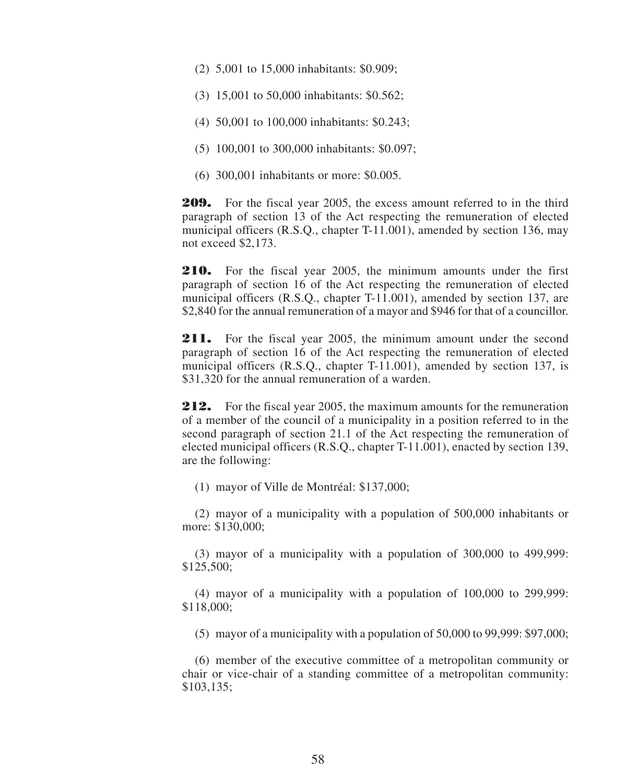- (2) 5,001 to 15,000 inhabitants: \$0.909;
- (3) 15,001 to 50,000 inhabitants: \$0.562;
- (4) 50,001 to 100,000 inhabitants: \$0.243;
- (5) 100,001 to 300,000 inhabitants: \$0.097;
- (6) 300,001 inhabitants or more: \$0.005.

**209.** For the fiscal year 2005, the excess amount referred to in the third paragraph of section 13 of the Act respecting the remuneration of elected municipal officers (R.S.Q., chapter T-11.001), amended by section 136, may not exceed \$2,173.

**210.** For the fiscal year 2005, the minimum amounts under the first paragraph of section 16 of the Act respecting the remuneration of elected municipal officers (R.S.Q., chapter T-11.001), amended by section 137, are \$2,840 for the annual remuneration of a mayor and \$946 for that of a councillor.

211. For the fiscal year 2005, the minimum amount under the second paragraph of section 16 of the Act respecting the remuneration of elected municipal officers (R.S.Q., chapter T-11.001), amended by section 137, is \$31,320 for the annual remuneration of a warden.

**212.** For the fiscal year 2005, the maximum amounts for the remuneration of a member of the council of a municipality in a position referred to in the second paragraph of section 21.1 of the Act respecting the remuneration of elected municipal officers (R.S.Q., chapter T-11.001), enacted by section 139, are the following:

(1) mayor of Ville de Montréal: \$137,000;

(2) mayor of a municipality with a population of 500,000 inhabitants or more: \$130,000:

(3) mayor of a municipality with a population of 300,000 to 499,999: \$125,500;

(4) mayor of a municipality with a population of 100,000 to 299,999: \$118,000;

(5) mayor of a municipality with a population of 50,000 to 99,999: \$97,000;

(6) member of the executive committee of a metropolitan community or chair or vice-chair of a standing committee of a metropolitan community: \$103,135;